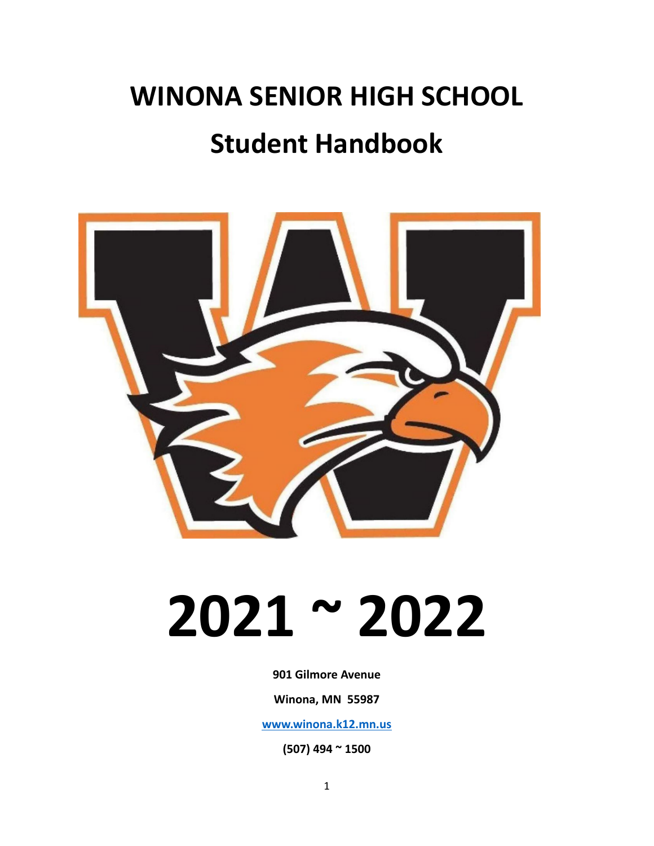### **WINONA SENIOR HIGH SCHOOL Student Handbook**



## **2021 ~ 2022**

**901 Gilmore Avenue**

**Winona, MN 55987**

**[www.winona.k12.mn.us](http://www.winona.k12.mn.us)**

**(507) 494 ~ 1500**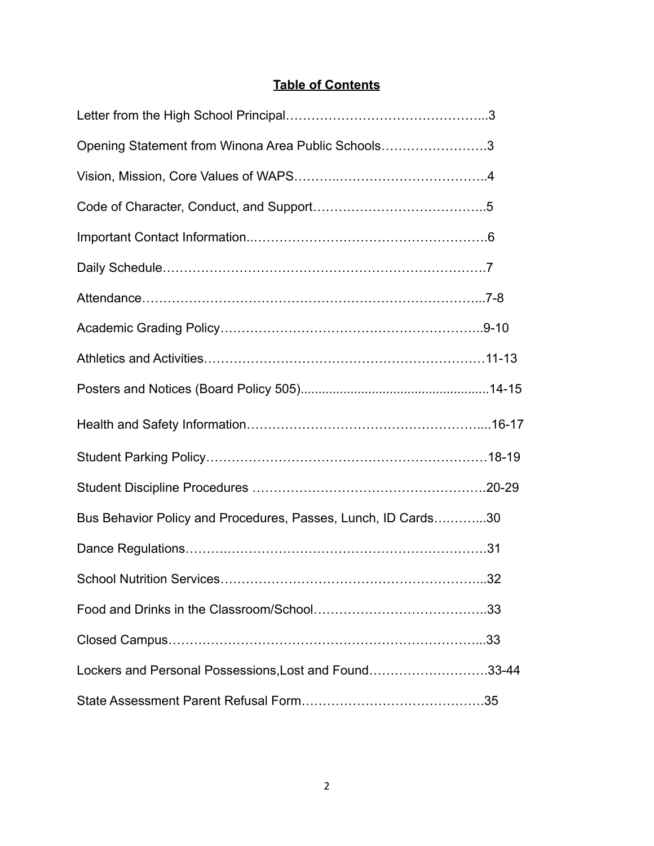#### **Table of Contents**

| Opening Statement from Winona Area Public Schools3            |  |
|---------------------------------------------------------------|--|
|                                                               |  |
|                                                               |  |
|                                                               |  |
|                                                               |  |
|                                                               |  |
|                                                               |  |
|                                                               |  |
|                                                               |  |
|                                                               |  |
|                                                               |  |
|                                                               |  |
|                                                               |  |
| Bus Behavior Policy and Procedures, Passes, Lunch, ID Cards30 |  |
|                                                               |  |
|                                                               |  |
|                                                               |  |
|                                                               |  |
| Lockers and Personal Possessions, Lost and Found33-44         |  |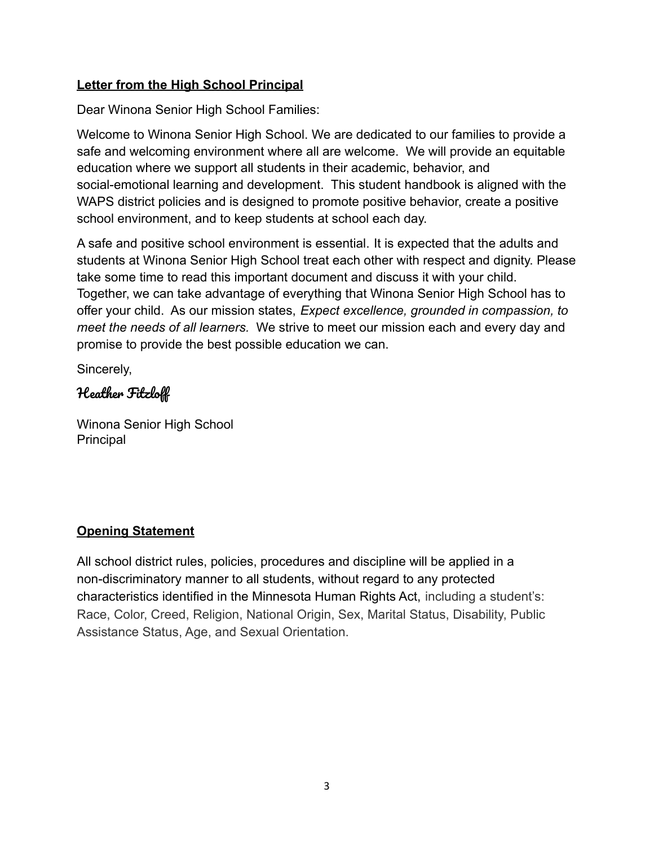#### **Letter from the High School Principal**

Dear Winona Senior High School Families:

Welcome to Winona Senior High School. We are dedicated to our families to provide a safe and welcoming environment where all are welcome. We will provide an equitable education where we support all students in their academic, behavior, and social-emotional learning and development. This student handbook is aligned with the WAPS district policies and is designed to promote positive behavior, create a positive school environment, and to keep students at school each day.

A safe and positive school environment is essential. It is expected that the adults and students at Winona Senior High School treat each other with respect and dignity. Please take some time to read this important document and discuss it with your child. Together, we can take advantage of everything that Winona Senior High School has to offer your child. As our mission states, *Expect excellence, grounded in compassion, to meet the needs of all learners.* We strive to meet our mission each and every day and promise to provide the best possible education we can.

Sincerely,

#### Heather Fitzloff

Winona Senior High School Principal

#### **Opening Statement**

All school district rules, policies, procedures and discipline will be applied in a non-discriminatory manner to all students, without regard to any protected characteristics identified in the Minnesota Human Rights Act, including a student's: Race, Color, Creed, Religion, National Origin, Sex, Marital Status, Disability, Public Assistance Status, Age, and Sexual Orientation.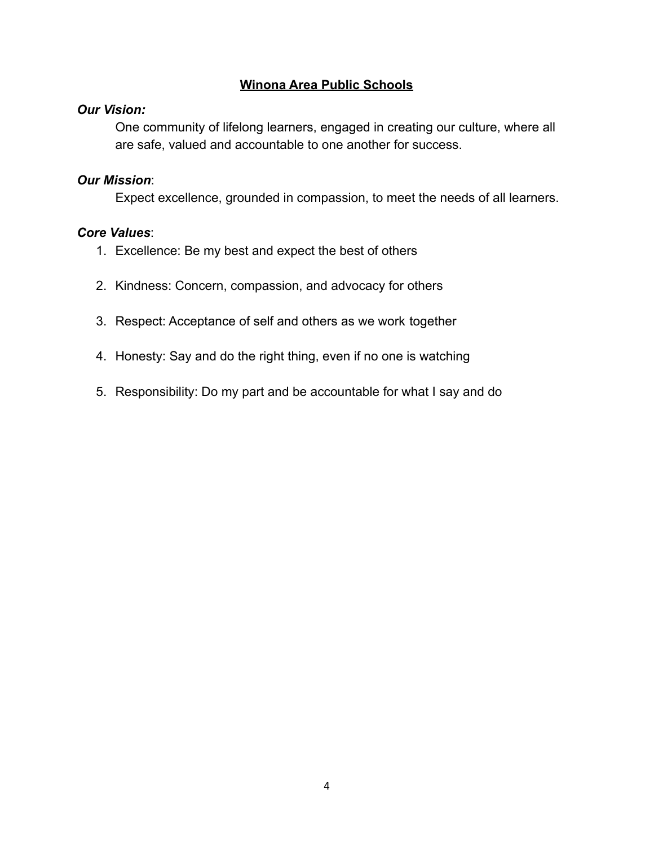#### **Winona Area Public Schools**

#### *Our Vision:*

One community of lifelong learners, engaged in creating our culture, where all are safe, valued and accountable to one another for success.

#### *Our Mission*:

Expect excellence, grounded in compassion, to meet the needs of all learners.

#### *Core Values*:

- 1. Excellence: Be my best and expect the best of others
- 2. Kindness: Concern, compassion, and advocacy for others
- 3. Respect: Acceptance of self and others as we work together
- 4. Honesty: Say and do the right thing, even if no one is watching
- 5. Responsibility: Do my part and be accountable for what I say and do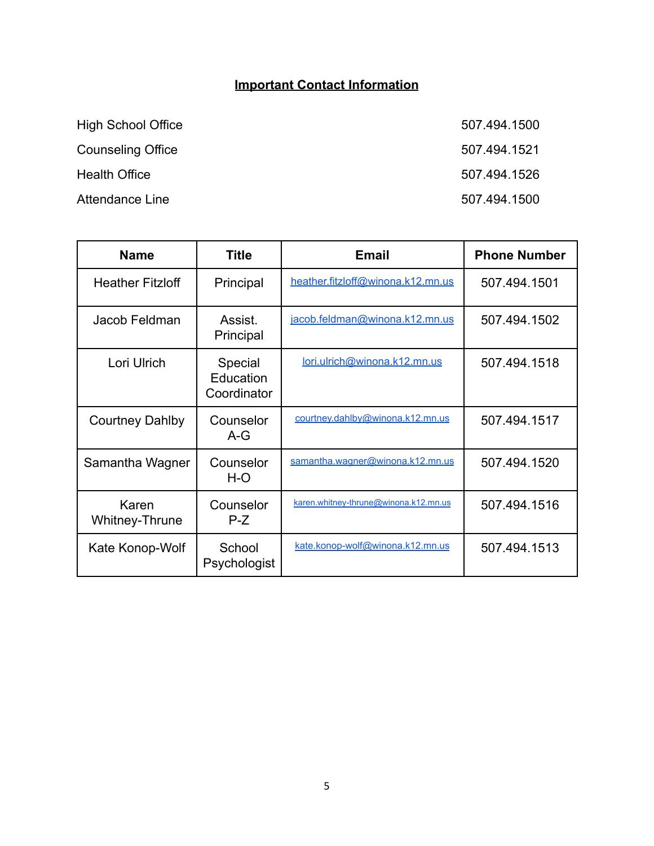#### **Important Contact Information**

| <b>High School Office</b> | 507.494.1500 |
|---------------------------|--------------|
| <b>Counseling Office</b>  | 507.494.1521 |
| <b>Health Office</b>      | 507.494.1526 |
| Attendance Line           | 507.494.1500 |

| <b>Name</b>             | Title                               | <b>Email</b>                          | <b>Phone Number</b> |
|-------------------------|-------------------------------------|---------------------------------------|---------------------|
| <b>Heather Fitzloff</b> | Principal                           | heather.fitzloff@winona.k12.mn.us     | 507.494.1501        |
| Jacob Feldman           | Assist.<br>Principal                | jacob.feldman@winona.k12.mn.us        | 507.494.1502        |
| Lori Ulrich             | Special<br>Education<br>Coordinator | lori.ulrich@winona.k12.mn.us          | 507.494.1518        |
| <b>Courtney Dahlby</b>  | Counselor<br>A-G                    | courtney.dahlby@winona.k12.mn.us      | 507.494.1517        |
| Samantha Wagner         | Counselor<br>H-O                    | samantha.wagner@winona.k12.mn.us      | 507.494.1520        |
| Karen<br>Whitney-Thrune | Counselor<br>$P-Z$                  | karen.whitney-thrune@winona.k12.mn.us | 507.494.1516        |
| Kate Konop-Wolf         | School<br>Psychologist              | kate.konop-wolf@winona.k12.mn.us      | 507.494.1513        |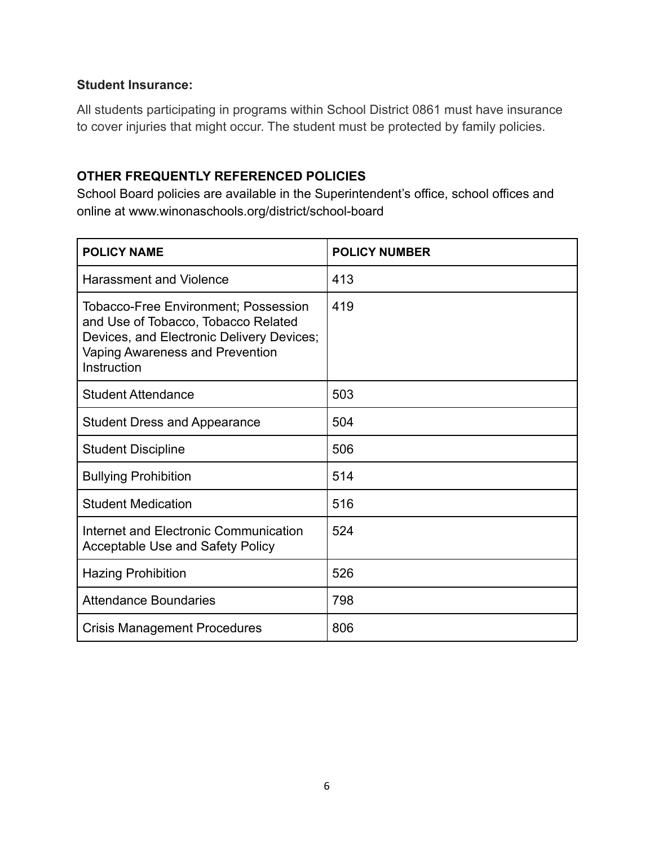#### **Student Insurance:**

All students participating in programs within School District 0861 must have insurance to cover injuries that might occur. The student must be protected by family policies.

#### **OTHER FREQUENTLY REFERENCED POLICIES**

School Board policies are available in the Superintendent's office, school offices and online at www.winonaschools.org/district/school-board

| <b>POLICY NAME</b>                                                                                                                                                                | <b>POLICY NUMBER</b> |
|-----------------------------------------------------------------------------------------------------------------------------------------------------------------------------------|----------------------|
| <b>Harassment and Violence</b>                                                                                                                                                    | 413                  |
| <b>Tobacco-Free Environment; Possession</b><br>and Use of Tobacco, Tobacco Related<br>Devices, and Electronic Delivery Devices;<br>Vaping Awareness and Prevention<br>Instruction | 419                  |
| <b>Student Attendance</b>                                                                                                                                                         | 503                  |
| <b>Student Dress and Appearance</b>                                                                                                                                               | 504                  |
| <b>Student Discipline</b>                                                                                                                                                         | 506                  |
| <b>Bullying Prohibition</b>                                                                                                                                                       | 514                  |
| <b>Student Medication</b>                                                                                                                                                         | 516                  |
| Internet and Electronic Communication<br><b>Acceptable Use and Safety Policy</b>                                                                                                  | 524                  |
| <b>Hazing Prohibition</b>                                                                                                                                                         | 526                  |
| <b>Attendance Boundaries</b>                                                                                                                                                      | 798                  |
| <b>Crisis Management Procedures</b>                                                                                                                                               | 806                  |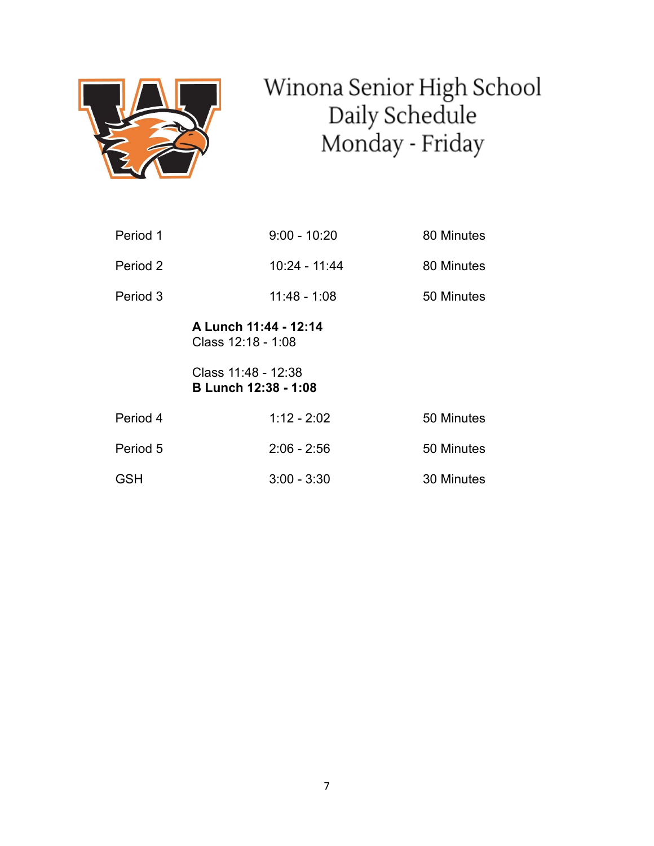

# Winona Senior High School<br>Daily Schedule<br>Monday - Friday

| Period 1   | $9:00 - 10:20$                                     | 80 Minutes |
|------------|----------------------------------------------------|------------|
| Period 2   | 10:24 - 11:44                                      | 80 Minutes |
| Period 3   | $11:48 - 1:08$                                     | 50 Minutes |
|            | A Lunch 11:44 - 12:14<br>Class 12:18 - 1:08        |            |
|            | Class 11:48 - 12:38<br><b>B Lunch 12:38 - 1:08</b> |            |
| Period 4   | $1:12 - 2:02$                                      | 50 Minutes |
| Period 5   | $2:06 - 2:56$                                      | 50 Minutes |
| <b>GSH</b> | $3:00 - 3:30$                                      | 30 Minutes |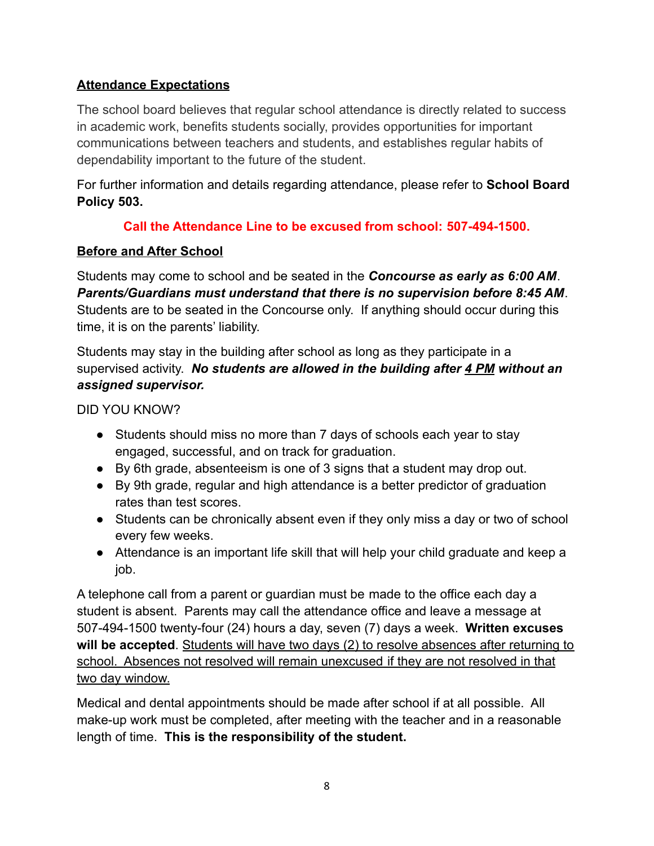#### **Attendance Expectations**

The school board believes that regular school attendance is directly related to success in academic work, benefits students socially, provides opportunities for important communications between teachers and students, and establishes regular habits of dependability important to the future of the student.

For further information and details regarding attendance, please refer to **School Board Policy 503.**

#### **Call the Attendance Line to be excused from school: 507-494-1500.**

#### **Before and After School**

Students may come to school and be seated in the *Concourse as early as 6:00 AM*. *Parents/Guardians must understand that there is no supervision before 8:45 AM*. Students are to be seated in the Concourse only. If anything should occur during this time, it is on the parents' liability.

Students may stay in the building after school as long as they participate in a supervised activity. *No students are allowed in the building after 4 PM without an assigned supervisor.*

DID YOU KNOW?

- Students should miss no more than 7 days of schools each year to stay engaged, successful, and on track for graduation.
- By 6th grade, absenteeism is one of 3 signs that a student may drop out.
- By 9th grade, regular and high attendance is a better predictor of graduation rates than test scores.
- Students can be chronically absent even if they only miss a day or two of school every few weeks.
- Attendance is an important life skill that will help your child graduate and keep a job.

A telephone call from a parent or guardian must be made to the office each day a student is absent. Parents may call the attendance office and leave a message at 507-494-1500 twenty-four (24) hours a day, seven (7) days a week. **Written excuses will be accepted**. Students will have two days (2) to resolve absences after returning to school. Absences not resolved will remain unexcused if they are not resolved in that two day window.

Medical and dental appointments should be made after school if at all possible. All make-up work must be completed, after meeting with the teacher and in a reasonable length of time. **This is the responsibility of the student.**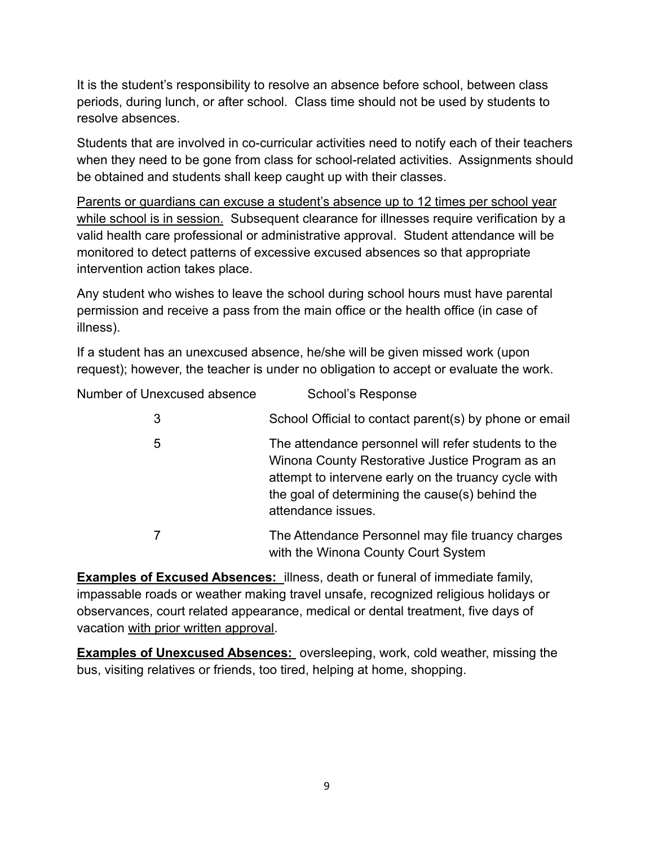It is the student's responsibility to resolve an absence before school, between class periods, during lunch, or after school. Class time should not be used by students to resolve absences.

Students that are involved in co-curricular activities need to notify each of their teachers when they need to be gone from class for school-related activities. Assignments should be obtained and students shall keep caught up with their classes.

Parents or guardians can excuse a student's absence up to 12 times per school year while school is in session. Subsequent clearance for illnesses require verification by a valid health care professional or administrative approval. Student attendance will be monitored to detect patterns of excessive excused absences so that appropriate intervention action takes place.

Any student who wishes to leave the school during school hours must have parental permission and receive a pass from the main office or the health office (in case of illness).

If a student has an unexcused absence, he/she will be given missed work (upon request); however, the teacher is under no obligation to accept or evaluate the work.

| Number of Unexcused absence | School's Response |
|-----------------------------|-------------------|
|-----------------------------|-------------------|

| 3 | School Official to contact parent(s) by phone or email                                                                                                                                                                                  |
|---|-----------------------------------------------------------------------------------------------------------------------------------------------------------------------------------------------------------------------------------------|
| 5 | The attendance personnel will refer students to the<br>Winona County Restorative Justice Program as an<br>attempt to intervene early on the truancy cycle with<br>the goal of determining the cause(s) behind the<br>attendance issues. |
|   | The Attendance Personnel may file truancy charges<br>with the Winona County Court System                                                                                                                                                |

**Examples of Excused Absences:** illness, death or funeral of immediate family, impassable roads or weather making travel unsafe, recognized religious holidays or observances, court related appearance, medical or dental treatment, five days of vacation with prior written approval.

**Examples of Unexcused Absences:** oversleeping, work, cold weather, missing the bus, visiting relatives or friends, too tired, helping at home, shopping.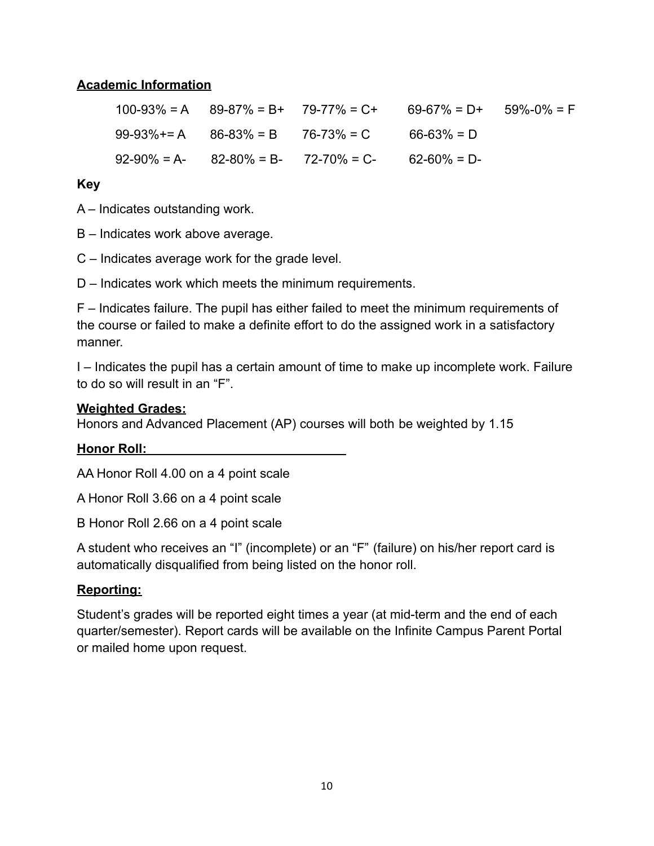#### **Academic Information**

|  | $100-93\% = A$ 89-87% = B+ 79-77% = C+                    | $69-67\% = D+ 59\% -0\% = F$ |  |
|--|-----------------------------------------------------------|------------------------------|--|
|  | $99-93\%$ += A $86-83\%$ = B $76-73\%$ = C 66-63% = D     |                              |  |
|  | $92-90\% = A - 82-80\% = B - 72-70\% = C - 62-60\% = D -$ |                              |  |

#### **Key**

A – Indicates outstanding work.

B – Indicates work above average.

C – Indicates average work for the grade level.

D – Indicates work which meets the minimum requirements.

F – Indicates failure. The pupil has either failed to meet the minimum requirements of the course or failed to make a definite effort to do the assigned work in a satisfactory manner.

I – Indicates the pupil has a certain amount of time to make up incomplete work. Failure to do so will result in an "F".

#### **Weighted Grades:**

Honors and Advanced Placement (AP) courses will both be weighted by 1.15

#### **Honor Roll:**

AA Honor Roll 4.00 on a 4 point scale

A Honor Roll 3.66 on a 4 point scale

B Honor Roll 2.66 on a 4 point scale

A student who receives an "I" (incomplete) or an "F" (failure) on his/her report card is automatically disqualified from being listed on the honor roll.

#### **Reporting:**

Student's grades will be reported eight times a year (at mid-term and the end of each quarter/semester). Report cards will be available on the Infinite Campus Parent Portal or mailed home upon request.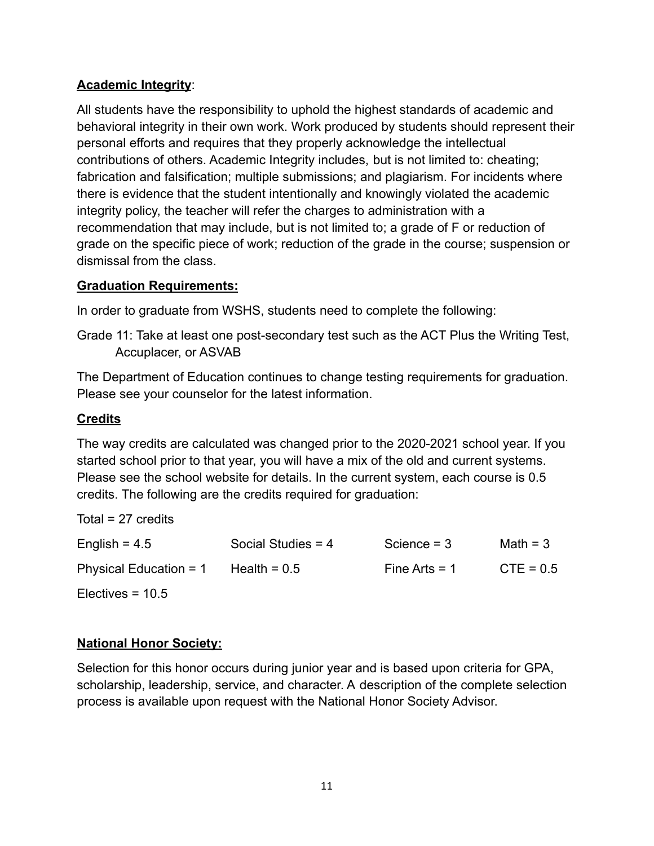#### **Academic Integrity**:

All students have the responsibility to uphold the highest standards of academic and behavioral integrity in their own work. Work produced by students should represent their personal efforts and requires that they properly acknowledge the intellectual contributions of others. Academic Integrity includes, but is not limited to: cheating; fabrication and falsification; multiple submissions; and plagiarism. For incidents where there is evidence that the student intentionally and knowingly violated the academic integrity policy, the teacher will refer the charges to administration with a recommendation that may include, but is not limited to; a grade of F or reduction of grade on the specific piece of work; reduction of the grade in the course; suspension or dismissal from the class.

#### **Graduation Requirements:**

In order to graduate from WSHS, students need to complete the following:

Grade 11: Take at least one post-secondary test such as the ACT Plus the Writing Test, Accuplacer, or ASVAB

The Department of Education continues to change testing requirements for graduation. Please see your counselor for the latest information.

#### **Credits**

The way credits are calculated was changed prior to the 2020-2021 school year. If you started school prior to that year, you will have a mix of the old and current systems. Please see the school website for details. In the current system, each course is 0.5 credits. The following are the credits required for graduation:

| Total = $27$ credits     |                      |                 |             |
|--------------------------|----------------------|-----------------|-------------|
| English = $4.5$          | Social Studies $= 4$ | Science $=$ 3   | Math = $3$  |
| Physical Education = $1$ | Health = $0.5$       | Fine Arts $= 1$ | $CTE = 0.5$ |
| Electives = $10.5$       |                      |                 |             |

#### **National Honor Society:**

Selection for this honor occurs during junior year and is based upon criteria for GPA, scholarship, leadership, service, and character. A description of the complete selection process is available upon request with the National Honor Society Advisor.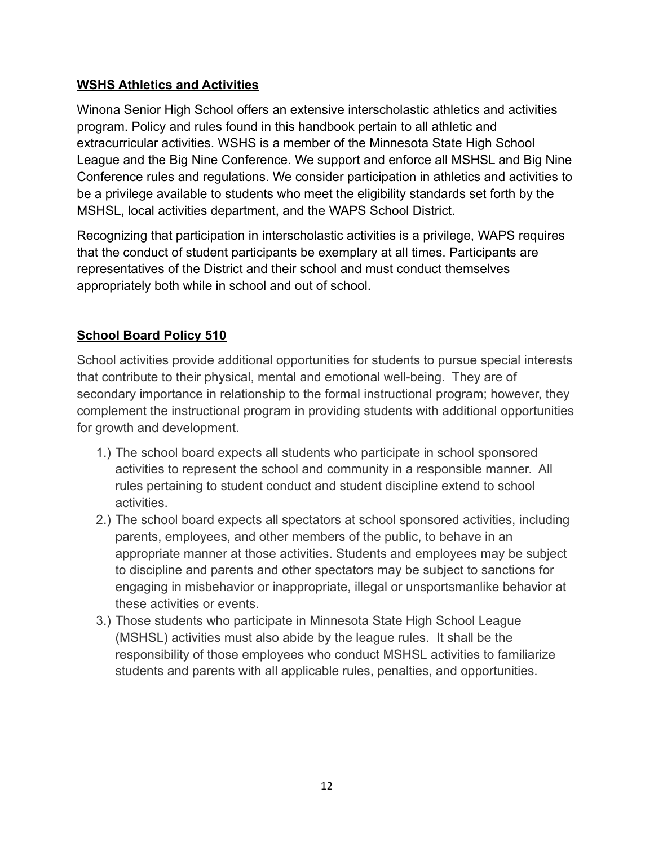#### **WSHS Athletics and Activities**

Winona Senior High School offers an extensive interscholastic athletics and activities program. Policy and rules found in this handbook pertain to all athletic and extracurricular activities. WSHS is a member of the Minnesota State High School League and the Big Nine Conference. We support and enforce all MSHSL and Big Nine Conference rules and regulations. We consider participation in athletics and activities to be a privilege available to students who meet the eligibility standards set forth by the MSHSL, local activities department, and the WAPS School District.

Recognizing that participation in interscholastic activities is a privilege, WAPS requires that the conduct of student participants be exemplary at all times. Participants are representatives of the District and their school and must conduct themselves appropriately both while in school and out of school.

#### **School Board Policy 510**

School activities provide additional opportunities for students to pursue special interests that contribute to their physical, mental and emotional well-being. They are of secondary importance in relationship to the formal instructional program; however, they complement the instructional program in providing students with additional opportunities for growth and development.

- 1.) The school board expects all students who participate in school sponsored activities to represent the school and community in a responsible manner. All rules pertaining to student conduct and student discipline extend to school activities.
- 2.) The school board expects all spectators at school sponsored activities, including parents, employees, and other members of the public, to behave in an appropriate manner at those activities. Students and employees may be subject to discipline and parents and other spectators may be subject to sanctions for engaging in misbehavior or inappropriate, illegal or unsportsmanlike behavior at these activities or events.
- 3.) Those students who participate in Minnesota State High School League (MSHSL) activities must also abide by the league rules. It shall be the responsibility of those employees who conduct MSHSL activities to familiarize students and parents with all applicable rules, penalties, and opportunities.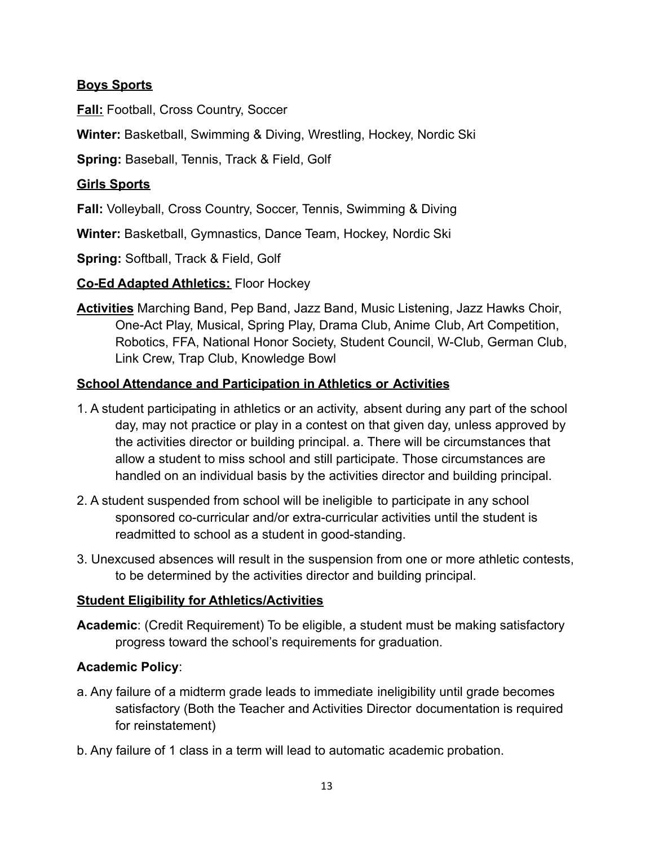#### **Boys Sports**

**Fall:** Football, Cross Country, Soccer

**Winter:** Basketball, Swimming & Diving, Wrestling, Hockey, Nordic Ski

**Spring:** Baseball, Tennis, Track & Field, Golf

#### **Girls Sports**

**Fall:** Volleyball, Cross Country, Soccer, Tennis, Swimming & Diving

**Winter:** Basketball, Gymnastics, Dance Team, Hockey, Nordic Ski

**Spring:** Softball, Track & Field, Golf

#### **Co-Ed Adapted Athletics:** Floor Hockey

**Activities** Marching Band, Pep Band, Jazz Band, Music Listening, Jazz Hawks Choir, One-Act Play, Musical, Spring Play, Drama Club, Anime Club, Art Competition, Robotics, FFA, National Honor Society, Student Council, W-Club, German Club, Link Crew, Trap Club, Knowledge Bowl

#### **School Attendance and Participation in Athletics or Activities**

- 1. A student participating in athletics or an activity, absent during any part of the school day, may not practice or play in a contest on that given day, unless approved by the activities director or building principal. a. There will be circumstances that allow a student to miss school and still participate. Those circumstances are handled on an individual basis by the activities director and building principal.
- 2. A student suspended from school will be ineligible to participate in any school sponsored co-curricular and/or extra-curricular activities until the student is readmitted to school as a student in good-standing.
- 3. Unexcused absences will result in the suspension from one or more athletic contests, to be determined by the activities director and building principal.

#### **Student Eligibility for Athletics/Activities**

**Academic**: (Credit Requirement) To be eligible, a student must be making satisfactory progress toward the school's requirements for graduation.

#### **Academic Policy**:

- a. Any failure of a midterm grade leads to immediate ineligibility until grade becomes satisfactory (Both the Teacher and Activities Director documentation is required for reinstatement)
- b. Any failure of 1 class in a term will lead to automatic academic probation.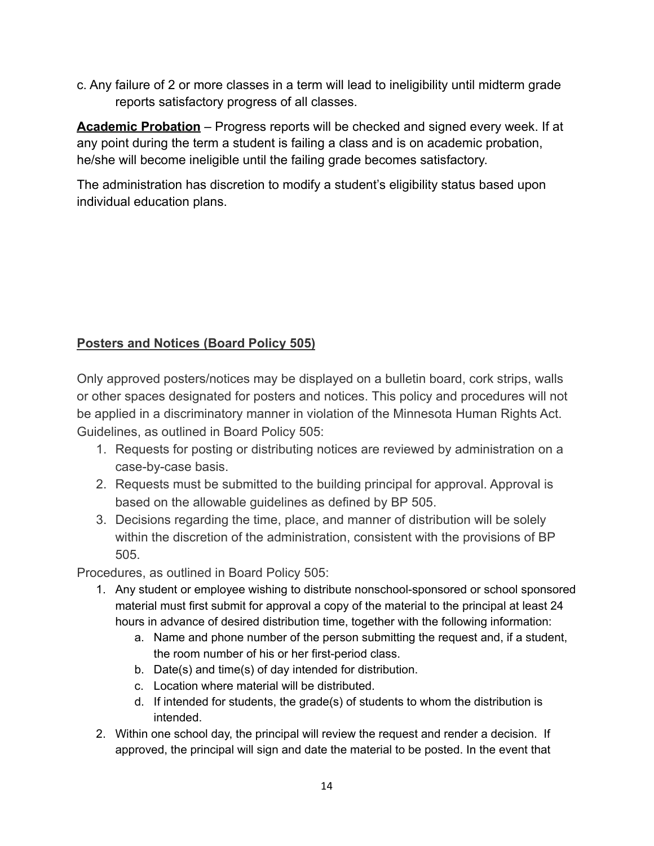c. Any failure of 2 or more classes in a term will lead to ineligibility until midterm grade reports satisfactory progress of all classes.

**Academic Probation** – Progress reports will be checked and signed every week. If at any point during the term a student is failing a class and is on academic probation, he/she will become ineligible until the failing grade becomes satisfactory.

The administration has discretion to modify a student's eligibility status based upon individual education plans.

#### **Posters and Notices (Board Policy 505)**

Only approved posters/notices may be displayed on a bulletin board, cork strips, walls or other spaces designated for posters and notices. This policy and procedures will not be applied in a discriminatory manner in violation of the Minnesota Human Rights Act. Guidelines, as outlined in Board Policy 505:

- 1. Requests for posting or distributing notices are reviewed by administration on a case-by-case basis.
- 2. Requests must be submitted to the building principal for approval. Approval is based on the allowable guidelines as defined by BP 505.
- 3. Decisions regarding the time, place, and manner of distribution will be solely within the discretion of the administration, consistent with the provisions of BP 505.

Procedures, as outlined in Board Policy 505:

- 1. Any student or employee wishing to distribute nonschool-sponsored or school sponsored material must first submit for approval a copy of the material to the principal at least 24 hours in advance of desired distribution time, together with the following information:
	- a. Name and phone number of the person submitting the request and, if a student, the room number of his or her first-period class.
	- b. Date(s) and time(s) of day intended for distribution.
	- c. Location where material will be distributed.
	- d. If intended for students, the grade(s) of students to whom the distribution is intended.
- 2. Within one school day, the principal will review the request and render a decision. If approved, the principal will sign and date the material to be posted. In the event that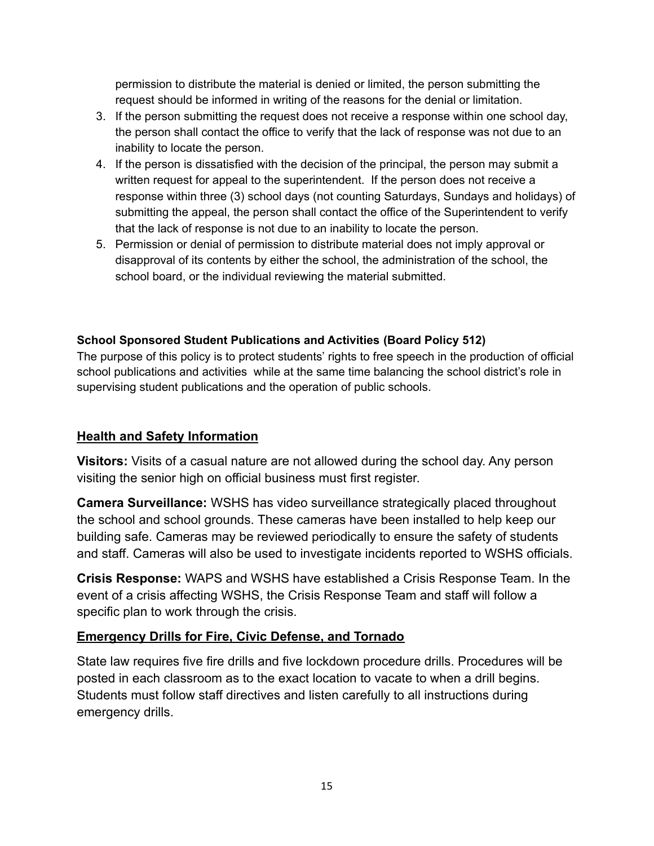permission to distribute the material is denied or limited, the person submitting the request should be informed in writing of the reasons for the denial or limitation.

- 3. If the person submitting the request does not receive a response within one school day, the person shall contact the office to verify that the lack of response was not due to an inability to locate the person.
- 4. If the person is dissatisfied with the decision of the principal, the person may submit a written request for appeal to the superintendent. If the person does not receive a response within three (3) school days (not counting Saturdays, Sundays and holidays) of submitting the appeal, the person shall contact the office of the Superintendent to verify that the lack of response is not due to an inability to locate the person.
- 5. Permission or denial of permission to distribute material does not imply approval or disapproval of its contents by either the school, the administration of the school, the school board, or the individual reviewing the material submitted.

#### **School Sponsored Student Publications and Activities (Board Policy 512)**

The purpose of this policy is to protect students' rights to free speech in the production of official school publications and activities while at the same time balancing the school district's role in supervising student publications and the operation of public schools.

#### **Health and Safety Information**

**Visitors:** Visits of a casual nature are not allowed during the school day. Any person visiting the senior high on official business must first register.

**Camera Surveillance:** WSHS has video surveillance strategically placed throughout the school and school grounds. These cameras have been installed to help keep our building safe. Cameras may be reviewed periodically to ensure the safety of students and staff. Cameras will also be used to investigate incidents reported to WSHS officials.

**Crisis Response:** WAPS and WSHS have established a Crisis Response Team. In the event of a crisis affecting WSHS, the Crisis Response Team and staff will follow a specific plan to work through the crisis.

#### **Emergency Drills for Fire, Civic Defense, and Tornado**

State law requires five fire drills and five lockdown procedure drills. Procedures will be posted in each classroom as to the exact location to vacate to when a drill begins. Students must follow staff directives and listen carefully to all instructions during emergency drills.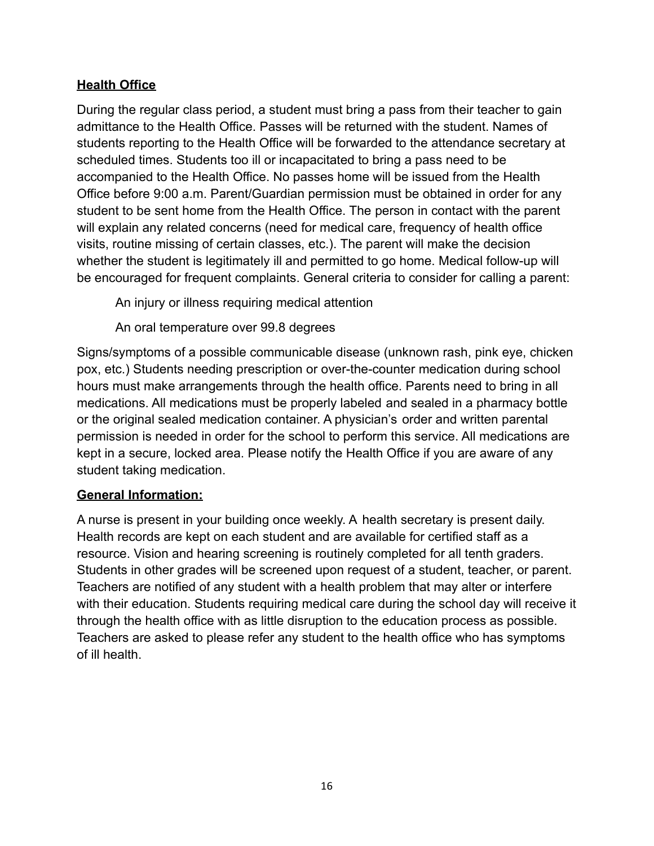#### **Health Office**

During the regular class period, a student must bring a pass from their teacher to gain admittance to the Health Office. Passes will be returned with the student. Names of students reporting to the Health Office will be forwarded to the attendance secretary at scheduled times. Students too ill or incapacitated to bring a pass need to be accompanied to the Health Office. No passes home will be issued from the Health Office before 9:00 a.m. Parent/Guardian permission must be obtained in order for any student to be sent home from the Health Office. The person in contact with the parent will explain any related concerns (need for medical care, frequency of health office visits, routine missing of certain classes, etc.). The parent will make the decision whether the student is legitimately ill and permitted to go home. Medical follow-up will be encouraged for frequent complaints. General criteria to consider for calling a parent:

An injury or illness requiring medical attention

An oral temperature over 99.8 degrees

Signs/symptoms of a possible communicable disease (unknown rash, pink eye, chicken pox, etc.) Students needing prescription or over-the-counter medication during school hours must make arrangements through the health office. Parents need to bring in all medications. All medications must be properly labeled and sealed in a pharmacy bottle or the original sealed medication container. A physician's order and written parental permission is needed in order for the school to perform this service. All medications are kept in a secure, locked area. Please notify the Health Office if you are aware of any student taking medication.

#### **General Information:**

A nurse is present in your building once weekly. A health secretary is present daily. Health records are kept on each student and are available for certified staff as a resource. Vision and hearing screening is routinely completed for all tenth graders. Students in other grades will be screened upon request of a student, teacher, or parent. Teachers are notified of any student with a health problem that may alter or interfere with their education. Students requiring medical care during the school day will receive it through the health office with as little disruption to the education process as possible. Teachers are asked to please refer any student to the health office who has symptoms of ill health.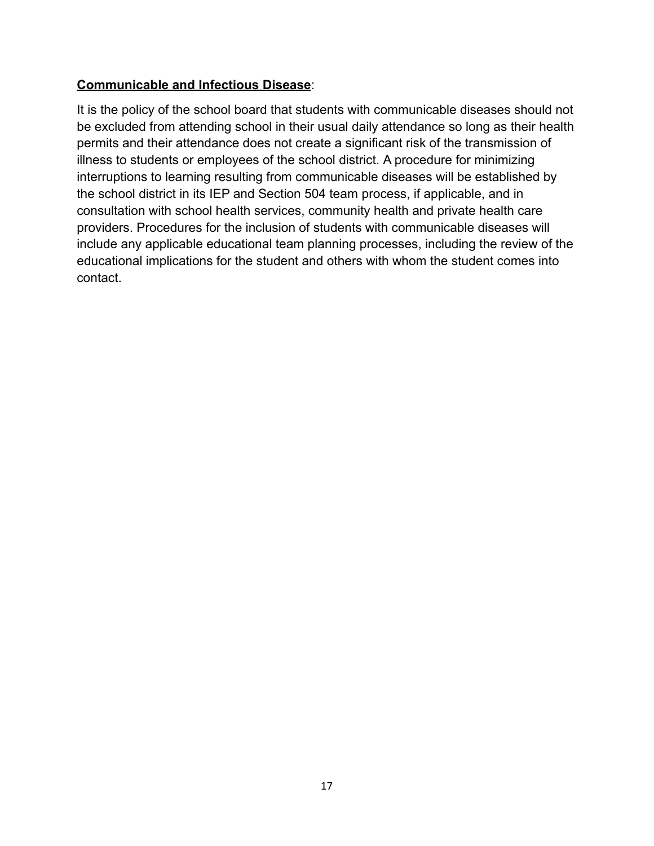#### **Communicable and Infectious Disease**:

It is the policy of the school board that students with communicable diseases should not be excluded from attending school in their usual daily attendance so long as their health permits and their attendance does not create a significant risk of the transmission of illness to students or employees of the school district. A procedure for minimizing interruptions to learning resulting from communicable diseases will be established by the school district in its IEP and Section 504 team process, if applicable, and in consultation with school health services, community health and private health care providers. Procedures for the inclusion of students with communicable diseases will include any applicable educational team planning processes, including the review of the educational implications for the student and others with whom the student comes into contact.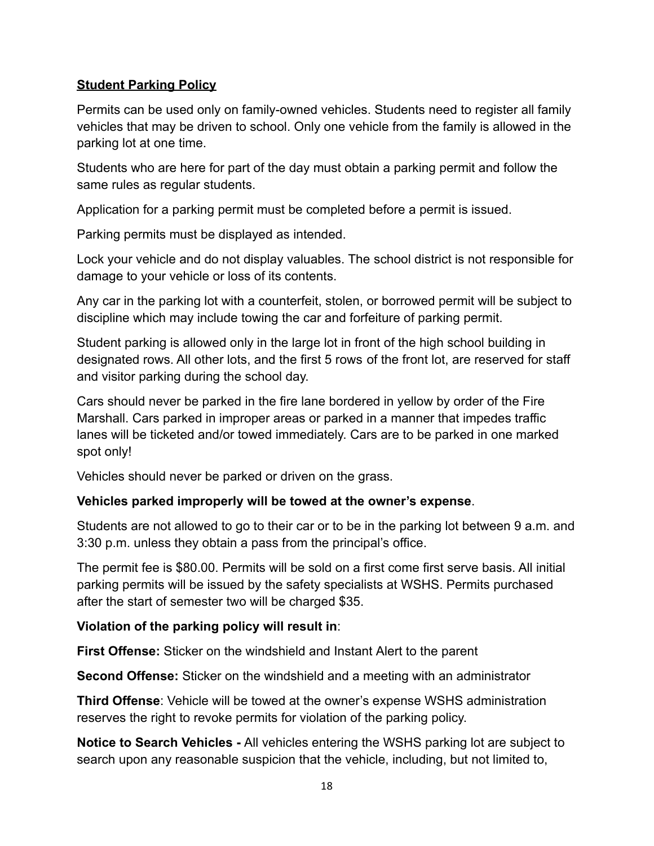#### **Student Parking Policy**

Permits can be used only on family-owned vehicles. Students need to register all family vehicles that may be driven to school. Only one vehicle from the family is allowed in the parking lot at one time.

Students who are here for part of the day must obtain a parking permit and follow the same rules as regular students.

Application for a parking permit must be completed before a permit is issued.

Parking permits must be displayed as intended.

Lock your vehicle and do not display valuables. The school district is not responsible for damage to your vehicle or loss of its contents.

Any car in the parking lot with a counterfeit, stolen, or borrowed permit will be subject to discipline which may include towing the car and forfeiture of parking permit.

Student parking is allowed only in the large lot in front of the high school building in designated rows. All other lots, and the first 5 rows of the front lot, are reserved for staff and visitor parking during the school day.

Cars should never be parked in the fire lane bordered in yellow by order of the Fire Marshall. Cars parked in improper areas or parked in a manner that impedes traffic lanes will be ticketed and/or towed immediately. Cars are to be parked in one marked spot only!

Vehicles should never be parked or driven on the grass.

#### **Vehicles parked improperly will be towed at the owner's expense**.

Students are not allowed to go to their car or to be in the parking lot between 9 a.m. and 3:30 p.m. unless they obtain a pass from the principal's office.

The permit fee is \$80.00. Permits will be sold on a first come first serve basis. All initial parking permits will be issued by the safety specialists at WSHS. Permits purchased after the start of semester two will be charged \$35.

#### **Violation of the parking policy will result in**:

**First Offense:** Sticker on the windshield and Instant Alert to the parent

**Second Offense:** Sticker on the windshield and a meeting with an administrator

**Third Offense**: Vehicle will be towed at the owner's expense WSHS administration reserves the right to revoke permits for violation of the parking policy.

**Notice to Search Vehicles -** All vehicles entering the WSHS parking lot are subject to search upon any reasonable suspicion that the vehicle, including, but not limited to,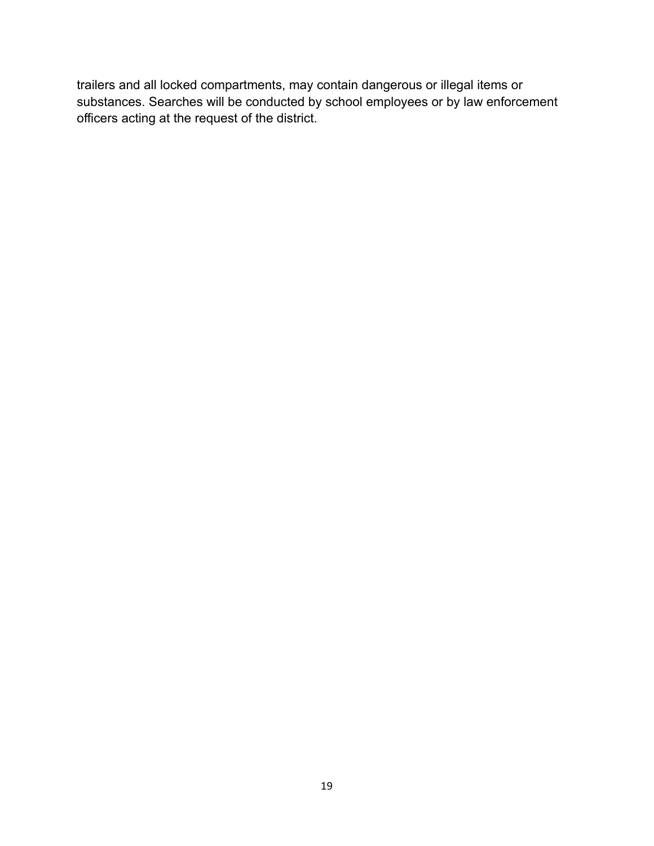trailers and all locked compartments, may contain dangerous or illegal items or substances. Searches will be conducted by school employees or by law enforcement officers acting at the request of the district.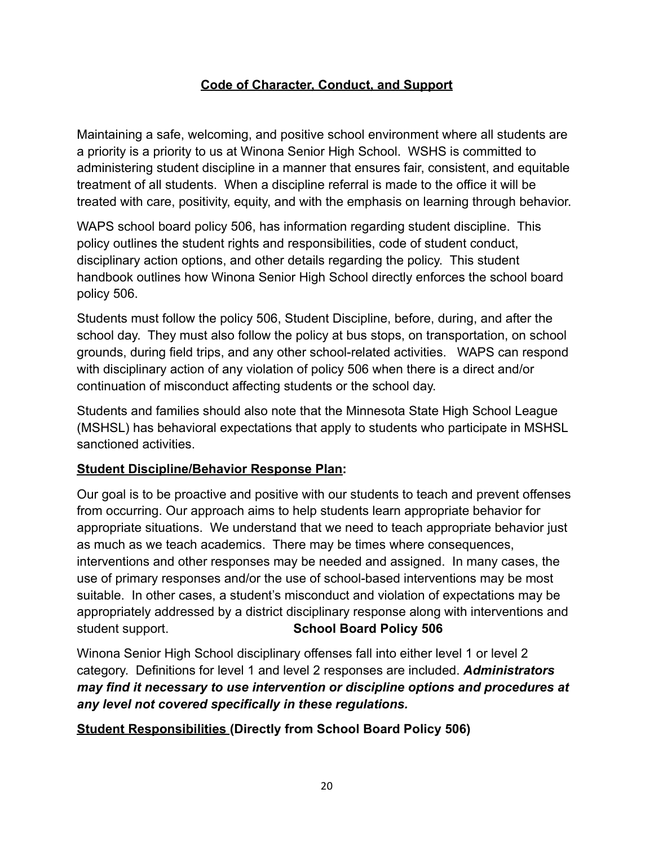#### **Code of Character, Conduct, and Support**

Maintaining a safe, welcoming, and positive school environment where all students are a priority is a priority to us at Winona Senior High School. WSHS is committed to administering student discipline in a manner that ensures fair, consistent, and equitable treatment of all students. When a discipline referral is made to the office it will be treated with care, positivity, equity, and with the emphasis on learning through behavior.

WAPS school board policy 506, has information regarding student discipline. This policy outlines the student rights and responsibilities, code of student conduct, disciplinary action options, and other details regarding the policy. This student handbook outlines how Winona Senior High School directly enforces the school board policy 506.

Students must follow the policy 506, Student Discipline, before, during, and after the school day. They must also follow the policy at bus stops, on transportation, on school grounds, during field trips, and any other school-related activities. WAPS can respond with disciplinary action of any violation of policy 506 when there is a direct and/or continuation of misconduct affecting students or the school day.

Students and families should also note that the Minnesota State High School League (MSHSL) has behavioral expectations that apply to students who participate in MSHSL sanctioned activities.

#### **Student Discipline/Behavior Response Plan:**

Our goal is to be proactive and positive with our students to teach and prevent offenses from occurring. Our approach aims to help students learn appropriate behavior for appropriate situations. We understand that we need to teach appropriate behavior just as much as we teach academics. There may be times where consequences, interventions and other responses may be needed and assigned. In many cases, the use of primary responses and/or the use of school-based interventions may be most suitable. In other cases, a student's misconduct and violation of expectations may be appropriately addressed by a district disciplinary response along with interventions and student support. **School Board Policy 506**

Winona Senior High School disciplinary offenses fall into either level 1 or level 2 category. Definitions for level 1 and level 2 responses are included. *Administrators may find it necessary to use intervention or discipline options and procedures at any level not covered specifically in these regulations.*

#### **Student Responsibilities (Directly from School Board Policy 506)**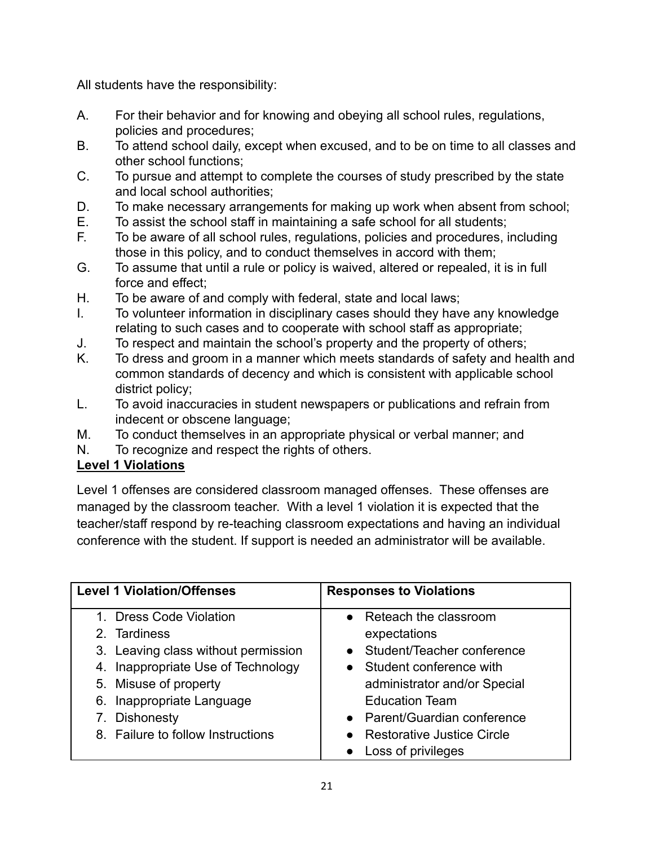All students have the responsibility:

- A. For their behavior and for knowing and obeying all school rules, regulations, policies and procedures;
- B. To attend school daily, except when excused, and to be on time to all classes and other school functions;
- C. To pursue and attempt to complete the courses of study prescribed by the state and local school authorities;
- D. To make necessary arrangements for making up work when absent from school;
- E. To assist the school staff in maintaining a safe school for all students;
- F. To be aware of all school rules, regulations, policies and procedures, including those in this policy, and to conduct themselves in accord with them;
- G. To assume that until a rule or policy is waived, altered or repealed, it is in full force and effect;
- H. To be aware of and comply with federal, state and local laws;
- I. To volunteer information in disciplinary cases should they have any knowledge relating to such cases and to cooperate with school staff as appropriate;
- J. To respect and maintain the school's property and the property of others;
- K. To dress and groom in a manner which meets standards of safety and health and common standards of decency and which is consistent with applicable school district policy;
- L. To avoid inaccuracies in student newspapers or publications and refrain from indecent or obscene language;
- M. To conduct themselves in an appropriate physical or verbal manner; and
- N. To recognize and respect the rights of others.

#### **Level 1 Violations**

Level 1 offenses are considered classroom managed offenses. These offenses are managed by the classroom teacher. With a level 1 violation it is expected that the teacher/staff respond by re-teaching classroom expectations and having an individual conference with the student. If support is needed an administrator will be available.

| <b>Level 1 Violation/Offenses</b>   | <b>Responses to Violations</b>    |
|-------------------------------------|-----------------------------------|
| 1. Dress Code Violation             | • Reteach the classroom           |
| 2. Tardiness                        | expectations                      |
| 3. Leaving class without permission | • Student/Teacher conference      |
| 4. Inappropriate Use of Technology  | • Student conference with         |
| 5. Misuse of property               | administrator and/or Special      |
| Inappropriate Language<br>6.        | <b>Education Team</b>             |
| <b>Dishonesty</b>                   | • Parent/Guardian conference      |
| 8. Failure to follow Instructions   | <b>Restorative Justice Circle</b> |
|                                     | Loss of privileges                |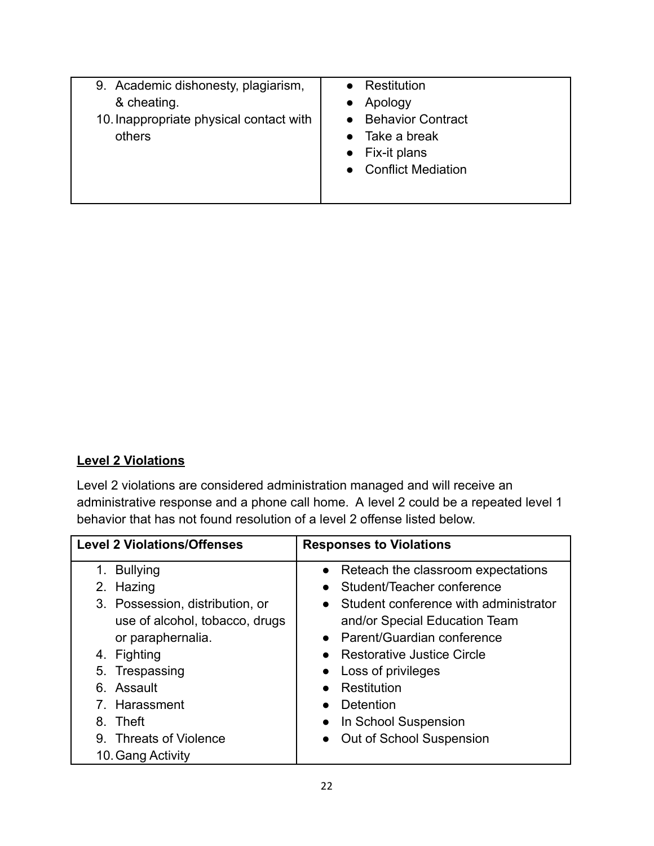| 9. Academic dishonesty, plagiarism,<br>& cheating.<br>10. Inappropriate physical contact with<br>others | Restitution<br>Apology<br>• Behavior Contract<br>Take a break<br>Fix-it plans<br>• Conflict Mediation |
|---------------------------------------------------------------------------------------------------------|-------------------------------------------------------------------------------------------------------|
|                                                                                                         |                                                                                                       |

#### **Level 2 Violations**

Level 2 violations are considered administration managed and will receive an administrative response and a phone call home. A level 2 could be a repeated level 1 behavior that has not found resolution of a level 2 offense listed below.

| <b>Level 2 Violations/Offenses</b> | <b>Responses to Violations</b>                     |
|------------------------------------|----------------------------------------------------|
| $1_{-}$<br><b>Bullying</b>         | • Reteach the classroom expectations               |
| 2. Hazing                          | Student/Teacher conference                         |
| 3. Possession, distribution, or    | Student conference with administrator<br>$\bullet$ |
| use of alcohol, tobacco, drugs     | and/or Special Education Team                      |
| or paraphernalia.                  | Parent/Guardian conference<br>$\bullet$            |
| 4. Fighting                        | <b>Restorative Justice Circle</b>                  |
| 5. Trespassing                     | Loss of privileges<br>$\bullet$                    |
| 6. Assault                         | Restitution                                        |
| 7. Harassment                      | Detention                                          |
| 8. Theft                           | In School Suspension<br>$\bullet$                  |
| 9. Threats of Violence             | Out of School Suspension<br>$\bullet$              |
| 10. Gang Activity                  |                                                    |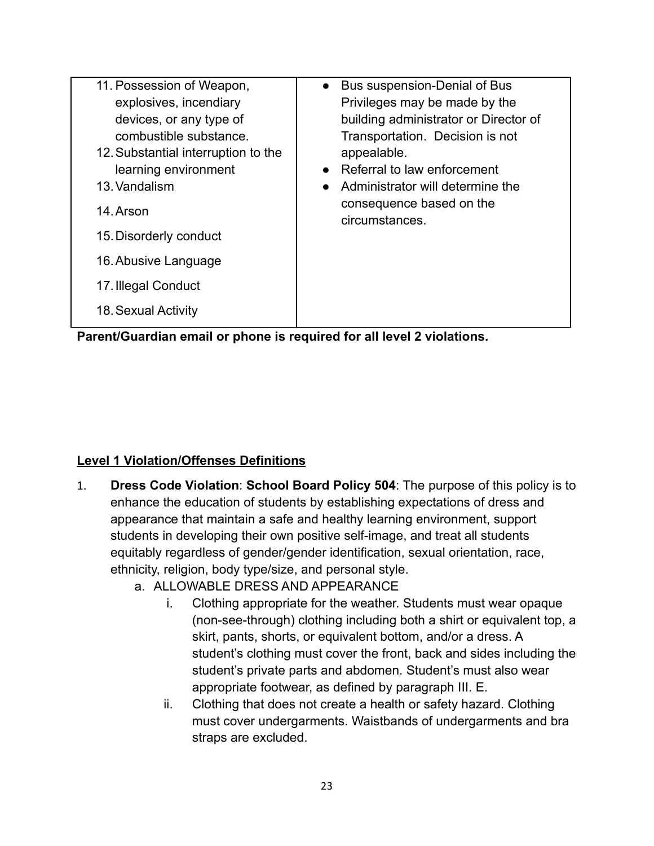| 11. Possession of Weapon,           | Bus suspension-Denial of Bus<br>$\bullet$  |
|-------------------------------------|--------------------------------------------|
| explosives, incendiary              | Privileges may be made by the              |
| devices, or any type of             | building administrator or Director of      |
| combustible substance.              | Transportation. Decision is not            |
| 12. Substantial interruption to the | appealable.                                |
| learning environment                | Referral to law enforcement                |
| 13. Vandalism                       | Administrator will determine the           |
| 14. Arson                           | consequence based on the<br>circumstances. |
| 15. Disorderly conduct              |                                            |
| 16. Abusive Language                |                                            |
| 17. Illegal Conduct                 |                                            |
| 18. Sexual Activity                 |                                            |
|                                     |                                            |

**Parent/Guardian email or phone is required for all level 2 violations.**

#### **Level 1 Violation/Offenses Definitions**

- 1. **Dress Code Violation**: **School Board Policy 504**: The purpose of this policy is to enhance the education of students by establishing expectations of dress and appearance that maintain a safe and healthy learning environment, support students in developing their own positive self-image, and treat all students equitably regardless of gender/gender identification, sexual orientation, race, ethnicity, religion, body type/size, and personal style.
	- a. ALLOWABLE DRESS AND APPEARANCE
		- i. Clothing appropriate for the weather. Students must wear opaque (non-see-through) clothing including both a shirt or equivalent top, a skirt, pants, shorts, or equivalent bottom, and/or a dress. A student's clothing must cover the front, back and sides including the student's private parts and abdomen. Student's must also wear appropriate footwear, as defined by paragraph III. E.
		- ii. Clothing that does not create a health or safety hazard. Clothing must cover undergarments. Waistbands of undergarments and bra straps are excluded.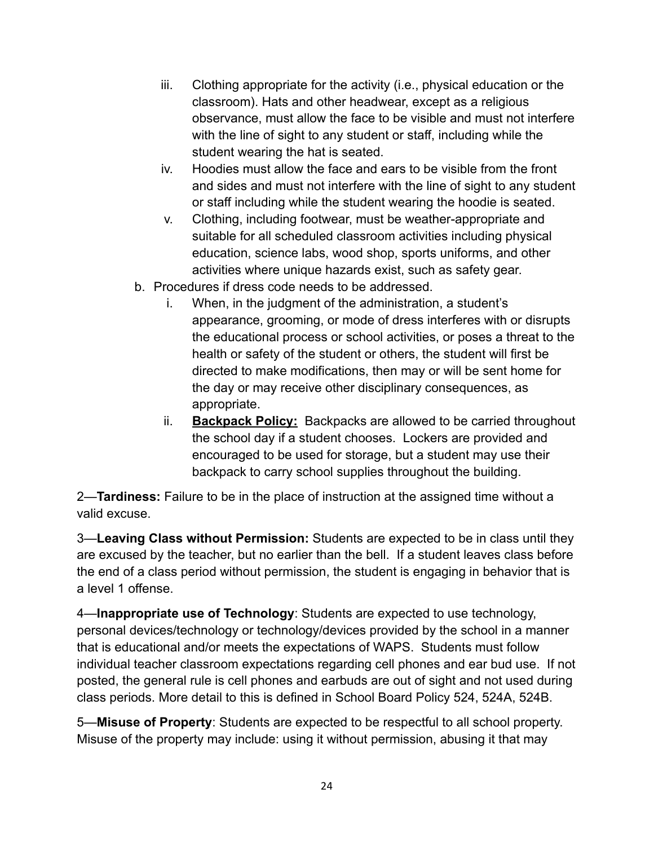- iii. Clothing appropriate for the activity (i.e., physical education or the classroom). Hats and other headwear, except as a religious observance, must allow the face to be visible and must not interfere with the line of sight to any student or staff, including while the student wearing the hat is seated.
- iv. Hoodies must allow the face and ears to be visible from the front and sides and must not interfere with the line of sight to any student or staff including while the student wearing the hoodie is seated.
- v. Clothing, including footwear, must be weather-appropriate and suitable for all scheduled classroom activities including physical education, science labs, wood shop, sports uniforms, and other activities where unique hazards exist, such as safety gear.
- b. Procedures if dress code needs to be addressed.
	- i. When, in the judgment of the administration, a student's appearance, grooming, or mode of dress interferes with or disrupts the educational process or school activities, or poses a threat to the health or safety of the student or others, the student will first be directed to make modifications, then may or will be sent home for the day or may receive other disciplinary consequences, as appropriate.
	- ii. **Backpack Policy:** Backpacks are allowed to be carried throughout the school day if a student chooses. Lockers are provided and encouraged to be used for storage, but a student may use their backpack to carry school supplies throughout the building.

2—**Tardiness:** Failure to be in the place of instruction at the assigned time without a valid excuse.

3—**Leaving Class without Permission:** Students are expected to be in class until they are excused by the teacher, but no earlier than the bell. If a student leaves class before the end of a class period without permission, the student is engaging in behavior that is a level 1 offense.

4—**Inappropriate use of Technology**: Students are expected to use technology, personal devices/technology or technology/devices provided by the school in a manner that is educational and/or meets the expectations of WAPS. Students must follow individual teacher classroom expectations regarding cell phones and ear bud use. If not posted, the general rule is cell phones and earbuds are out of sight and not used during class periods. More detail to this is defined in School Board Policy 524, 524A, 524B.

5—**Misuse of Property**: Students are expected to be respectful to all school property. Misuse of the property may include: using it without permission, abusing it that may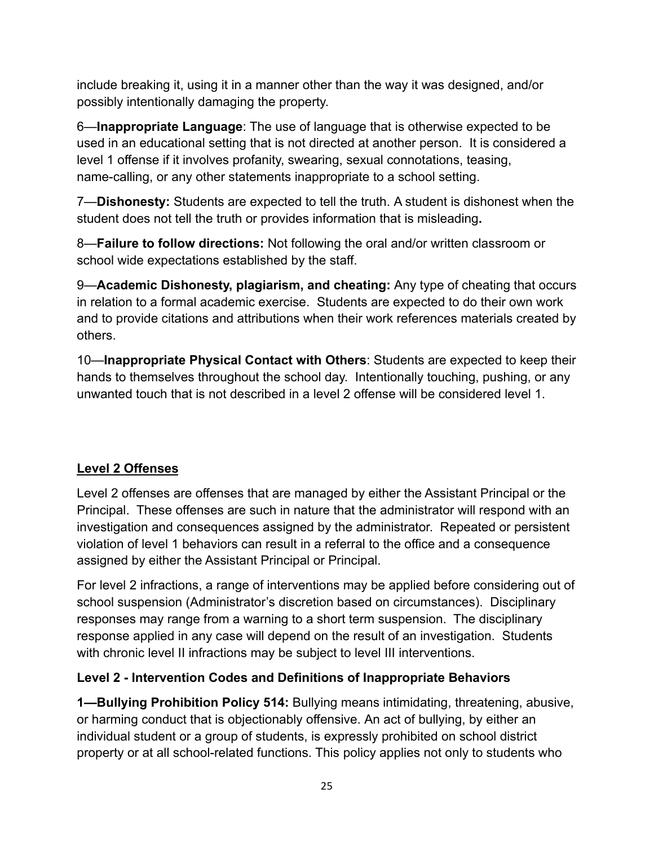include breaking it, using it in a manner other than the way it was designed, and/or possibly intentionally damaging the property.

6—**Inappropriate Language**: The use of language that is otherwise expected to be used in an educational setting that is not directed at another person. It is considered a level 1 offense if it involves profanity, swearing, sexual connotations, teasing, name-calling, or any other statements inappropriate to a school setting.

7—**Dishonesty:** Students are expected to tell the truth. A student is dishonest when the student does not tell the truth or provides information that is misleading**.**

8—**Failure to follow directions:** Not following the oral and/or written classroom or school wide expectations established by the staff.

9—**Academic Dishonesty, plagiarism, and cheating:** Any type of cheating that occurs in relation to a formal academic exercise. Students are expected to do their own work and to provide citations and attributions when their work references materials created by others.

10—**Inappropriate Physical Contact with Others**: Students are expected to keep their hands to themselves throughout the school day. Intentionally touching, pushing, or any unwanted touch that is not described in a level 2 offense will be considered level 1.

#### **Level 2 Offenses**

Level 2 offenses are offenses that are managed by either the Assistant Principal or the Principal. These offenses are such in nature that the administrator will respond with an investigation and consequences assigned by the administrator. Repeated or persistent violation of level 1 behaviors can result in a referral to the office and a consequence assigned by either the Assistant Principal or Principal.

For level 2 infractions, a range of interventions may be applied before considering out of school suspension (Administrator's discretion based on circumstances). Disciplinary responses may range from a warning to a short term suspension. The disciplinary response applied in any case will depend on the result of an investigation. Students with chronic level II infractions may be subject to level III interventions.

#### **Level 2 - Intervention Codes and Definitions of Inappropriate Behaviors**

**1—Bullying Prohibition Policy 514:** Bullying means intimidating, threatening, abusive, or harming conduct that is objectionably offensive. An act of bullying, by either an individual student or a group of students, is expressly prohibited on school district property or at all school-related functions. This policy applies not only to students who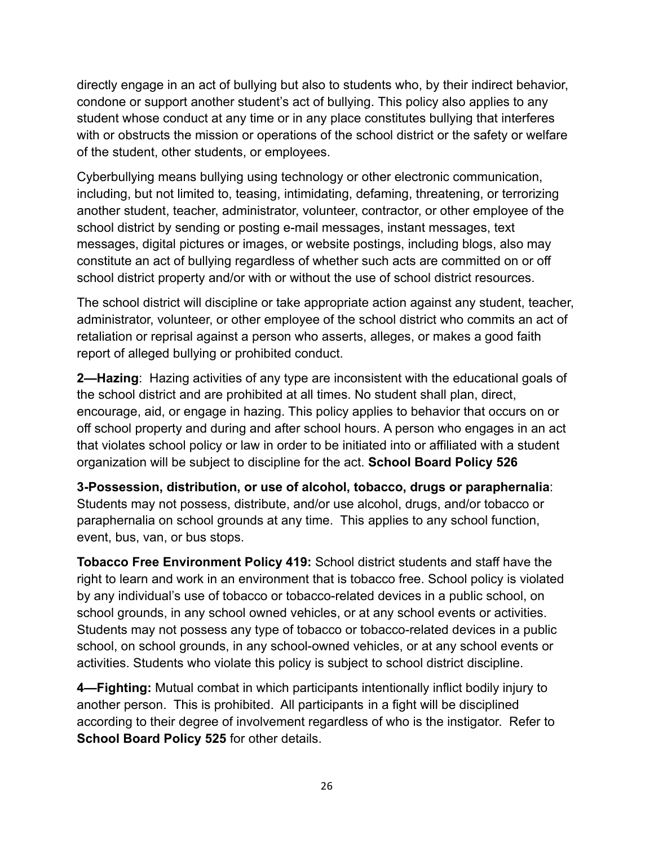directly engage in an act of bullying but also to students who, by their indirect behavior, condone or support another student's act of bullying. This policy also applies to any student whose conduct at any time or in any place constitutes bullying that interferes with or obstructs the mission or operations of the school district or the safety or welfare of the student, other students, or employees.

Cyberbullying means bullying using technology or other electronic communication, including, but not limited to, teasing, intimidating, defaming, threatening, or terrorizing another student, teacher, administrator, volunteer, contractor, or other employee of the school district by sending or posting e-mail messages, instant messages, text messages, digital pictures or images, or website postings, including blogs, also may constitute an act of bullying regardless of whether such acts are committed on or off school district property and/or with or without the use of school district resources.

The school district will discipline or take appropriate action against any student, teacher, administrator, volunteer, or other employee of the school district who commits an act of retaliation or reprisal against a person who asserts, alleges, or makes a good faith report of alleged bullying or prohibited conduct.

**2—Hazing**: Hazing activities of any type are inconsistent with the educational goals of the school district and are prohibited at all times. No student shall plan, direct, encourage, aid, or engage in hazing. This policy applies to behavior that occurs on or off school property and during and after school hours. A person who engages in an act that violates school policy or law in order to be initiated into or affiliated with a student organization will be subject to discipline for the act. **School Board Policy 526**

**3-Possession, distribution, or use of alcohol, tobacco, drugs or paraphernalia**: Students may not possess, distribute, and/or use alcohol, drugs, and/or tobacco or paraphernalia on school grounds at any time. This applies to any school function, event, bus, van, or bus stops.

**Tobacco Free Environment Policy 419:** School district students and staff have the right to learn and work in an environment that is tobacco free. School policy is violated by any individual's use of tobacco or tobacco-related devices in a public school, on school grounds, in any school owned vehicles, or at any school events or activities. Students may not possess any type of tobacco or tobacco-related devices in a public school, on school grounds, in any school-owned vehicles, or at any school events or activities. Students who violate this policy is subject to school district discipline.

**4—Fighting:** Mutual combat in which participants intentionally inflict bodily injury to another person. This is prohibited. All participants in a fight will be disciplined according to their degree of involvement regardless of who is the instigator. Refer to **School Board Policy 525** for other details.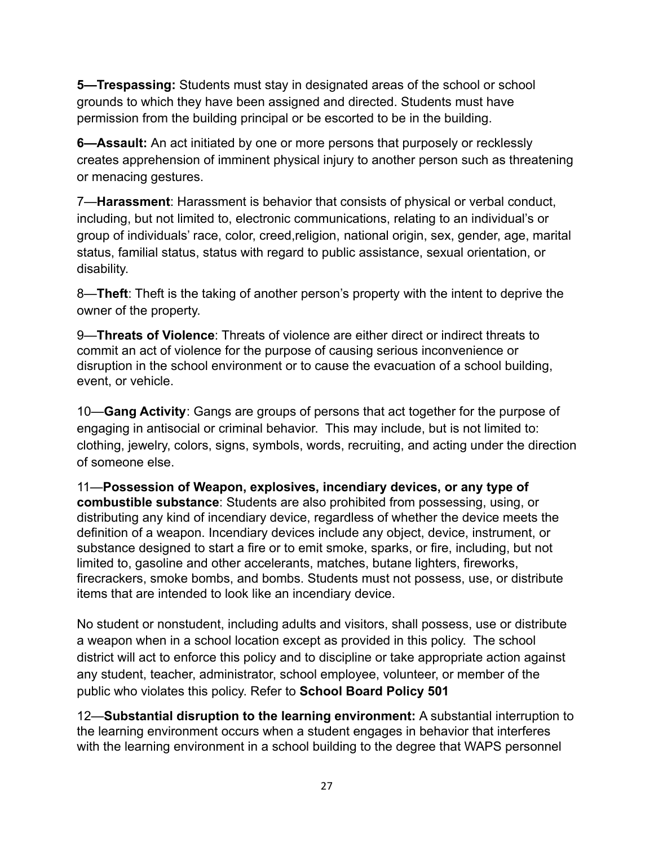**5—Trespassing:** Students must stay in designated areas of the school or school grounds to which they have been assigned and directed. Students must have permission from the building principal or be escorted to be in the building.

**6—Assault:** An act initiated by one or more persons that purposely or recklessly creates apprehension of imminent physical injury to another person such as threatening or menacing gestures.

7—**Harassment**: Harassment is behavior that consists of physical or verbal conduct, including, but not limited to, electronic communications, relating to an individual's or group of individuals' race, color, creed,religion, national origin, sex, gender, age, marital status, familial status, status with regard to public assistance, sexual orientation, or disability.

8—**Theft**: Theft is the taking of another person's property with the intent to deprive the owner of the property.

9—**Threats of Violence**: Threats of violence are either direct or indirect threats to commit an act of violence for the purpose of causing serious inconvenience or disruption in the school environment or to cause the evacuation of a school building, event, or vehicle.

10—**Gang Activity**: Gangs are groups of persons that act together for the purpose of engaging in antisocial or criminal behavior. This may include, but is not limited to: clothing, jewelry, colors, signs, symbols, words, recruiting, and acting under the direction of someone else.

11—**Possession of Weapon, explosives, incendiary devices, or any type of combustible substance**: Students are also prohibited from possessing, using, or distributing any kind of incendiary device, regardless of whether the device meets the definition of a weapon. Incendiary devices include any object, device, instrument, or substance designed to start a fire or to emit smoke, sparks, or fire, including, but not limited to, gasoline and other accelerants, matches, butane lighters, fireworks, firecrackers, smoke bombs, and bombs. Students must not possess, use, or distribute items that are intended to look like an incendiary device.

No student or nonstudent, including adults and visitors, shall possess, use or distribute a weapon when in a school location except as provided in this policy. The school district will act to enforce this policy and to discipline or take appropriate action against any student, teacher, administrator, school employee, volunteer, or member of the public who violates this policy. Refer to **School Board Policy 501**

12—**Substantial disruption to the learning environment:** A substantial interruption to the learning environment occurs when a student engages in behavior that interferes with the learning environment in a school building to the degree that WAPS personnel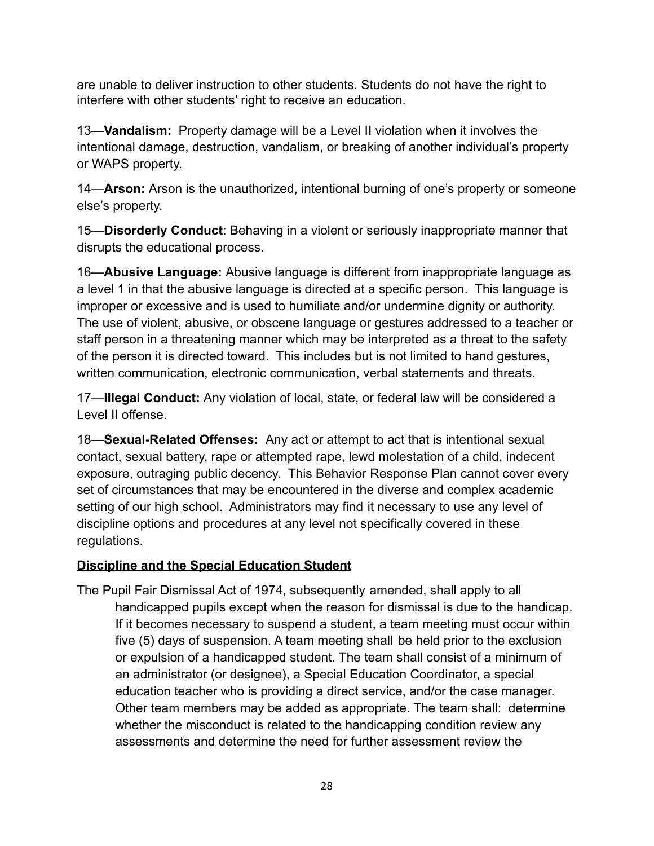are unable to deliver instruction to other students. Students do not have the right to interfere with other students' right to receive an education.

13—**Vandalism:** Property damage will be a Level II violation when it involves the intentional damage, destruction, vandalism, or breaking of another individual's property or WAPS property.

14—**Arson:** Arson is the unauthorized, intentional burning of one's property or someone else's property.

15—**Disorderly Conduct**: Behaving in a violent or seriously inappropriate manner that disrupts the educational process.

16—**Abusive Language:** Abusive language is different from inappropriate language as a level 1 in that the abusive language is directed at a specific person. This language is improper or excessive and is used to humiliate and/or undermine dignity or authority. The use of violent, abusive, or obscene language or gestures addressed to a teacher or staff person in a threatening manner which may be interpreted as a threat to the safety of the person it is directed toward. This includes but is not limited to hand gestures, written communication, electronic communication, verbal statements and threats.

17—**Illegal Conduct:** Any violation of local, state, or federal law will be considered a Level II offense.

18—**Sexual-Related Offenses:** Any act or attempt to act that is intentional sexual contact, sexual battery, rape or attempted rape, lewd molestation of a child, indecent exposure, outraging public decency. This Behavior Response Plan cannot cover every set of circumstances that may be encountered in the diverse and complex academic setting of our high school. Administrators may find it necessary to use any level of discipline options and procedures at any level not specifically covered in these regulations.

#### **Discipline and the Special Education Student**

The Pupil Fair Dismissal Act of 1974, subsequently amended, shall apply to all handicapped pupils except when the reason for dismissal is due to the handicap. If it becomes necessary to suspend a student, a team meeting must occur within five (5) days of suspension. A team meeting shall be held prior to the exclusion or expulsion of a handicapped student. The team shall consist of a minimum of an administrator (or designee), a Special Education Coordinator, a special education teacher who is providing a direct service, and/or the case manager. Other team members may be added as appropriate. The team shall: determine whether the misconduct is related to the handicapping condition review any assessments and determine the need for further assessment review the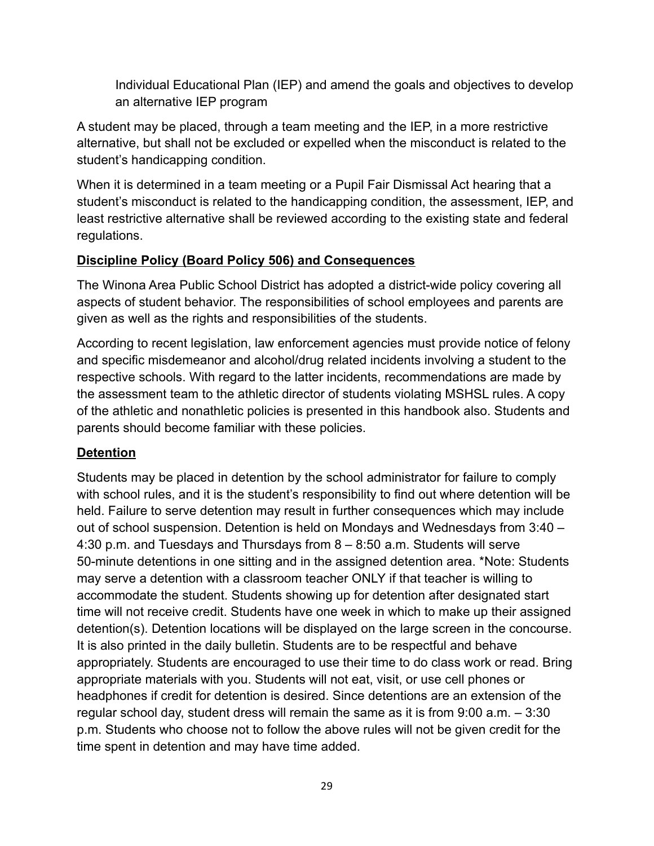Individual Educational Plan (IEP) and amend the goals and objectives to develop an alternative IEP program

A student may be placed, through a team meeting and the IEP, in a more restrictive alternative, but shall not be excluded or expelled when the misconduct is related to the student's handicapping condition.

When it is determined in a team meeting or a Pupil Fair Dismissal Act hearing that a student's misconduct is related to the handicapping condition, the assessment, IEP, and least restrictive alternative shall be reviewed according to the existing state and federal regulations.

#### **Discipline Policy (Board Policy 506) and Consequences**

The Winona Area Public School District has adopted a district-wide policy covering all aspects of student behavior. The responsibilities of school employees and parents are given as well as the rights and responsibilities of the students.

According to recent legislation, law enforcement agencies must provide notice of felony and specific misdemeanor and alcohol/drug related incidents involving a student to the respective schools. With regard to the latter incidents, recommendations are made by the assessment team to the athletic director of students violating MSHSL rules. A copy of the athletic and nonathletic policies is presented in this handbook also. Students and parents should become familiar with these policies.

#### **Detention**

Students may be placed in detention by the school administrator for failure to comply with school rules, and it is the student's responsibility to find out where detention will be held. Failure to serve detention may result in further consequences which may include out of school suspension. Detention is held on Mondays and Wednesdays from 3:40 – 4:30 p.m. and Tuesdays and Thursdays from 8 – 8:50 a.m. Students will serve 50-minute detentions in one sitting and in the assigned detention area. \*Note: Students may serve a detention with a classroom teacher ONLY if that teacher is willing to accommodate the student. Students showing up for detention after designated start time will not receive credit. Students have one week in which to make up their assigned detention(s). Detention locations will be displayed on the large screen in the concourse. It is also printed in the daily bulletin. Students are to be respectful and behave appropriately. Students are encouraged to use their time to do class work or read. Bring appropriate materials with you. Students will not eat, visit, or use cell phones or headphones if credit for detention is desired. Since detentions are an extension of the regular school day, student dress will remain the same as it is from 9:00 a.m. – 3:30 p.m. Students who choose not to follow the above rules will not be given credit for the time spent in detention and may have time added.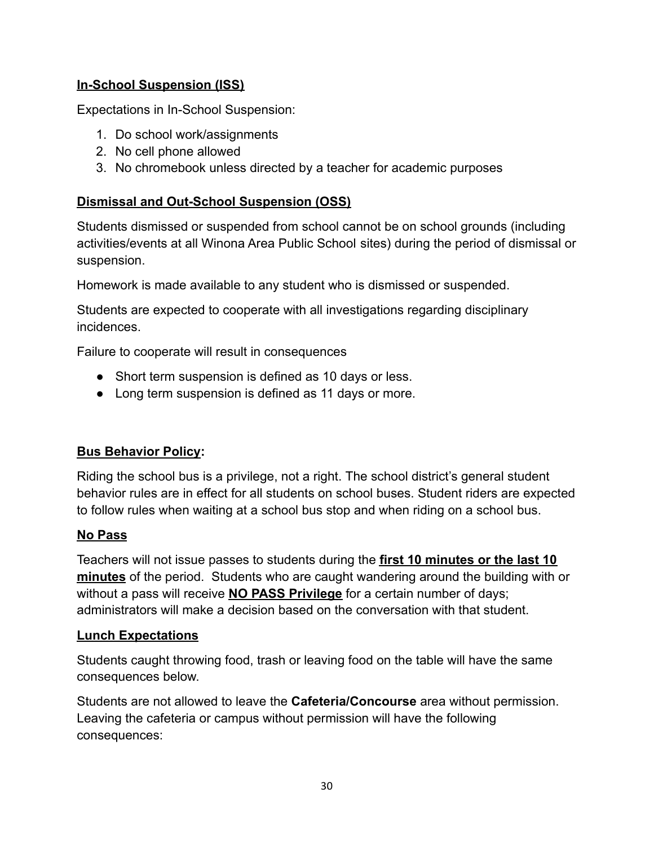#### **In-School Suspension (ISS)**

Expectations in In-School Suspension:

- 1. Do school work/assignments
- 2. No cell phone allowed
- 3. No chromebook unless directed by a teacher for academic purposes

#### **Dismissal and Out-School Suspension (OSS)**

Students dismissed or suspended from school cannot be on school grounds (including activities/events at all Winona Area Public School sites) during the period of dismissal or suspension.

Homework is made available to any student who is dismissed or suspended.

Students are expected to cooperate with all investigations regarding disciplinary incidences.

Failure to cooperate will result in consequences

- Short term suspension is defined as 10 days or less.
- Long term suspension is defined as 11 days or more.

#### **Bus Behavior Policy:**

Riding the school bus is a privilege, not a right. The school district's general student behavior rules are in effect for all students on school buses. Student riders are expected to follow rules when waiting at a school bus stop and when riding on a school bus.

#### **No Pass**

Teachers will not issue passes to students during the **first 10 minutes or the last 10 minutes** of the period. Students who are caught wandering around the building with or without a pass will receive **NO PASS Privilege** for a certain number of days; administrators will make a decision based on the conversation with that student.

#### **Lunch Expectations**

Students caught throwing food, trash or leaving food on the table will have the same consequences below.

Students are not allowed to leave the **Cafeteria/Concourse** area without permission. Leaving the cafeteria or campus without permission will have the following consequences: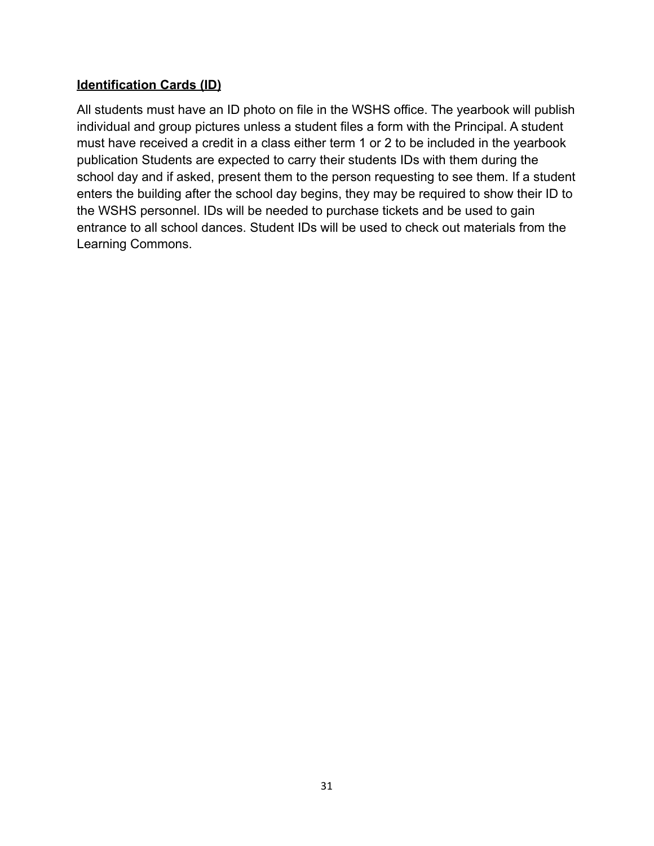#### **Identification Cards (ID)**

All students must have an ID photo on file in the WSHS office. The yearbook will publish individual and group pictures unless a student files a form with the Principal. A student must have received a credit in a class either term 1 or 2 to be included in the yearbook publication Students are expected to carry their students IDs with them during the school day and if asked, present them to the person requesting to see them. If a student enters the building after the school day begins, they may be required to show their ID to the WSHS personnel. IDs will be needed to purchase tickets and be used to gain entrance to all school dances. Student IDs will be used to check out materials from the Learning Commons.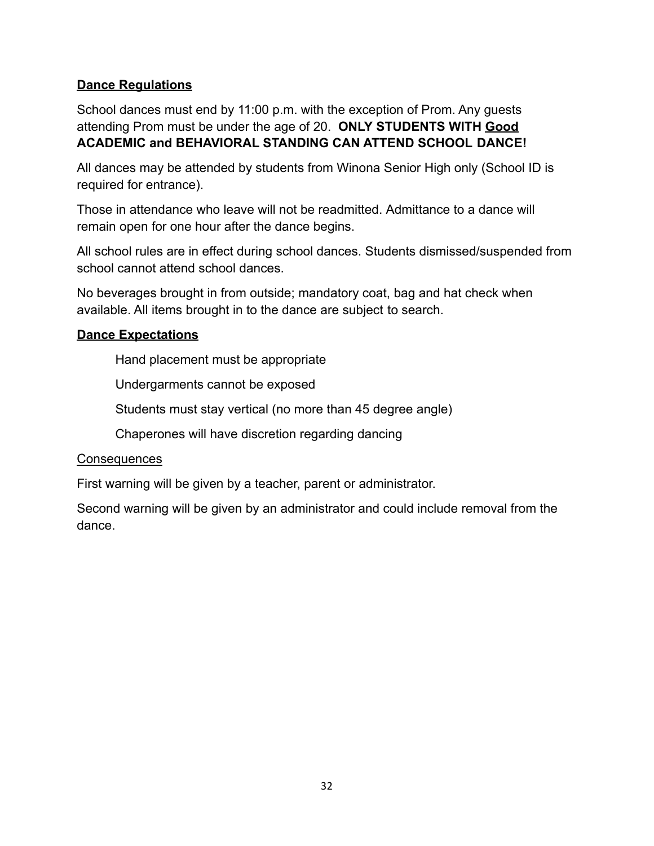#### **Dance Regulations**

School dances must end by 11:00 p.m. with the exception of Prom. Any guests attending Prom must be under the age of 20. **ONLY STUDENTS WITH Good ACADEMIC and BEHAVIORAL STANDING CAN ATTEND SCHOOL DANCE!**

All dances may be attended by students from Winona Senior High only (School ID is required for entrance).

Those in attendance who leave will not be readmitted. Admittance to a dance will remain open for one hour after the dance begins.

All school rules are in effect during school dances. Students dismissed/suspended from school cannot attend school dances.

No beverages brought in from outside; mandatory coat, bag and hat check when available. All items brought in to the dance are subject to search.

#### **Dance Expectations**

Hand placement must be appropriate

Undergarments cannot be exposed

Students must stay vertical (no more than 45 degree angle)

Chaperones will have discretion regarding dancing

#### **Consequences**

First warning will be given by a teacher, parent or administrator.

Second warning will be given by an administrator and could include removal from the dance.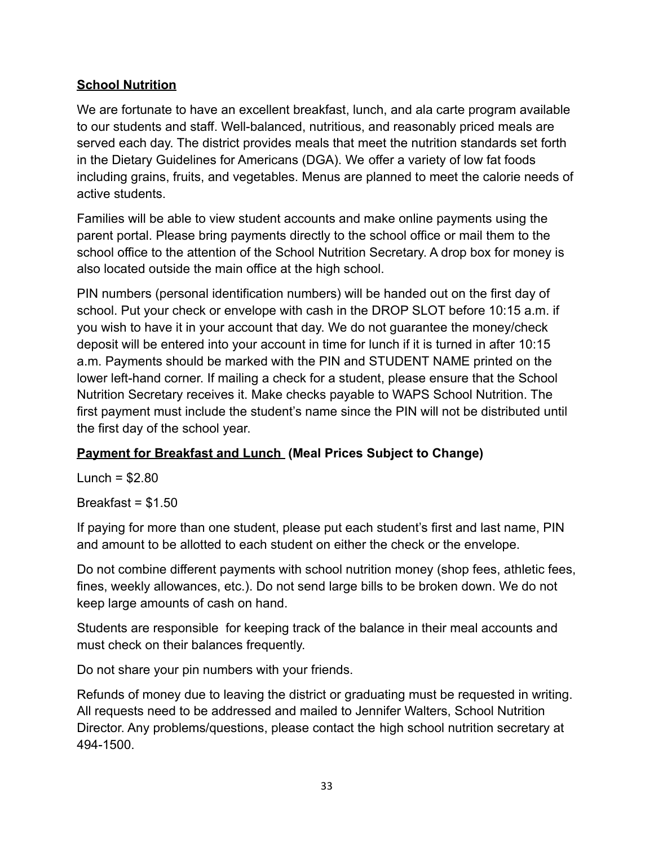#### **School Nutrition**

We are fortunate to have an excellent breakfast, lunch, and ala carte program available to our students and staff. Well-balanced, nutritious, and reasonably priced meals are served each day. The district provides meals that meet the nutrition standards set forth in the Dietary Guidelines for Americans (DGA). We offer a variety of low fat foods including grains, fruits, and vegetables. Menus are planned to meet the calorie needs of active students.

Families will be able to view student accounts and make online payments using the parent portal. Please bring payments directly to the school office or mail them to the school office to the attention of the School Nutrition Secretary. A drop box for money is also located outside the main office at the high school.

PIN numbers (personal identification numbers) will be handed out on the first day of school. Put your check or envelope with cash in the DROP SLOT before 10:15 a.m. if you wish to have it in your account that day. We do not guarantee the money/check deposit will be entered into your account in time for lunch if it is turned in after 10:15 a.m. Payments should be marked with the PIN and STUDENT NAME printed on the lower left-hand corner. If mailing a check for a student, please ensure that the School Nutrition Secretary receives it. Make checks payable to WAPS School Nutrition. The first payment must include the student's name since the PIN will not be distributed until the first day of the school year.

#### **Payment for Breakfast and Lunch (Meal Prices Subject to Change)**

Lunch =  $$2.80$ 

Breakfast =  $$1.50$ 

If paying for more than one student, please put each student's first and last name, PIN and amount to be allotted to each student on either the check or the envelope.

Do not combine different payments with school nutrition money (shop fees, athletic fees, fines, weekly allowances, etc.). Do not send large bills to be broken down. We do not keep large amounts of cash on hand.

Students are responsible for keeping track of the balance in their meal accounts and must check on their balances frequently.

Do not share your pin numbers with your friends.

Refunds of money due to leaving the district or graduating must be requested in writing. All requests need to be addressed and mailed to Jennifer Walters, School Nutrition Director. Any problems/questions, please contact the high school nutrition secretary at 494-1500.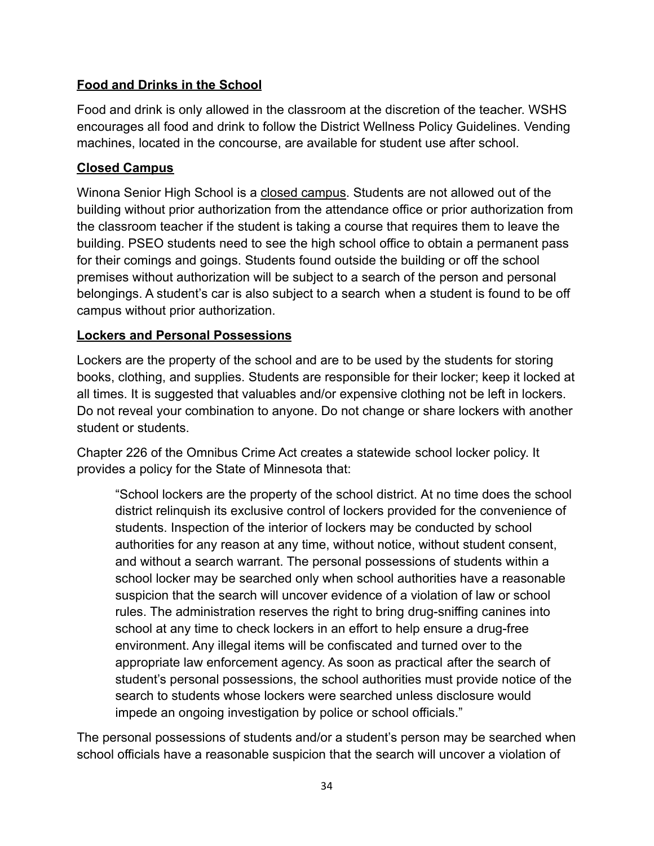#### **Food and Drinks in the School**

Food and drink is only allowed in the classroom at the discretion of the teacher. WSHS encourages all food and drink to follow the District Wellness Policy Guidelines. Vending machines, located in the concourse, are available for student use after school.

#### **Closed Campus**

Winona Senior High School is a closed campus. Students are not allowed out of the building without prior authorization from the attendance office or prior authorization from the classroom teacher if the student is taking a course that requires them to leave the building. PSEO students need to see the high school office to obtain a permanent pass for their comings and goings. Students found outside the building or off the school premises without authorization will be subject to a search of the person and personal belongings. A student's car is also subject to a search when a student is found to be off campus without prior authorization.

#### **Lockers and Personal Possessions**

Lockers are the property of the school and are to be used by the students for storing books, clothing, and supplies. Students are responsible for their locker; keep it locked at all times. It is suggested that valuables and/or expensive clothing not be left in lockers. Do not reveal your combination to anyone. Do not change or share lockers with another student or students.

Chapter 226 of the Omnibus Crime Act creates a statewide school locker policy. It provides a policy for the State of Minnesota that:

"School lockers are the property of the school district. At no time does the school district relinquish its exclusive control of lockers provided for the convenience of students. Inspection of the interior of lockers may be conducted by school authorities for any reason at any time, without notice, without student consent, and without a search warrant. The personal possessions of students within a school locker may be searched only when school authorities have a reasonable suspicion that the search will uncover evidence of a violation of law or school rules. The administration reserves the right to bring drug-sniffing canines into school at any time to check lockers in an effort to help ensure a drug-free environment. Any illegal items will be confiscated and turned over to the appropriate law enforcement agency. As soon as practical after the search of student's personal possessions, the school authorities must provide notice of the search to students whose lockers were searched unless disclosure would impede an ongoing investigation by police or school officials."

The personal possessions of students and/or a student's person may be searched when school officials have a reasonable suspicion that the search will uncover a violation of